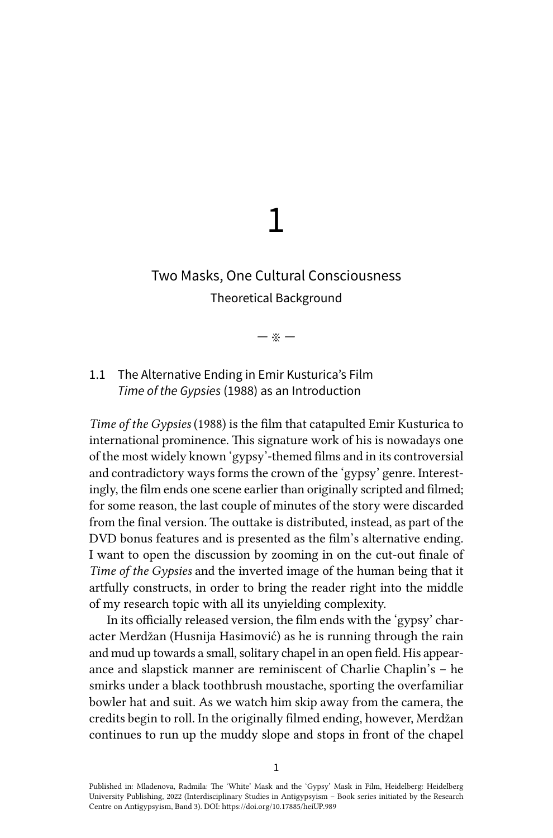# 1

# Two Masks, One Cultural Consciousness Theoretical Background

— ※ —

# 1.1 The Alternative Ending in Emir Kusturica's Film *Time of the Gypsies* (1988) as an Introduction

*Time of the Gypsies* (1988) is the film that catapulted Emir Kusturica to international prominence. This signature work of his is nowadays one of the most widely known 'gypsy'-themed films and in its controversial and contradictory ways forms the crown of the 'gypsy' genre. Interestingly, the film ends one scene earlier than originally scripted and filmed; for some reason, the last couple of minutes of the story were discarded from the final version. The outtake is distributed, instead, as part of the DVD bonus features and is presented as the film's alternative ending. I want to open the discussion by zooming in on the cut-out finale of *Time of the Gypsies* and the inverted image of the human being that it artfully constructs, in order to bring the reader right into the middle of my research topic with all its unyielding complexity.

In its officially released version, the film ends with the 'gypsy' character Merdžan (Husnija Hasimović) as he is running through the rain and mud up towards a small, solitary chapel in an open field. His appearance and slapstick manner are reminiscent of Charlie Chaplin's – he smirks under a black toothbrush moustache, sporting the overfamiliar bowler hat and suit. As we watch him skip away from the camera, the credits begin to roll. In the originally filmed ending, however, Merdžan continues to run up the muddy slope and stops in front of the chapel

Published in: Mladenova, Radmila: The 'White' Mask and the 'Gypsy' Mask in Film, Heidelberg: Heidelberg University Publishing, 2022 (Interdisciplinary Studies in Antigypsyism – Book series initiated by the Research Centre on Antigypsyism, Band 3). DOI:<https://doi.org/10.17885/heiUP.989>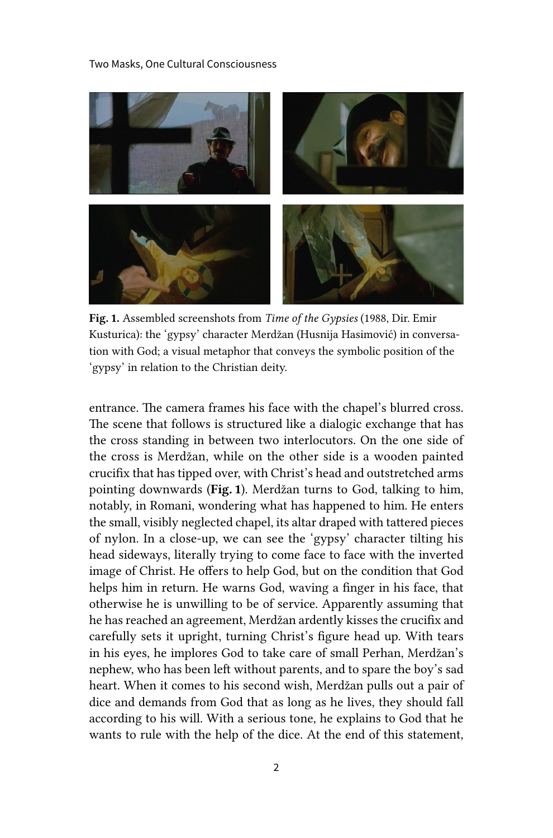Two Masks, One Cultural Consciousness



Fig. 1. Assembled screenshots from *Time of the Gypsies* (1988, Dir. Emir Kusturica): the 'gypsy' character Merdžan (Husnija Hasimović) in conversation with God; a visual metaphor that conveys the symbolic position of the 'gypsy' in relation to the Christian deity.

entrance. The camera frames his face with the chapel's blurred cross. The scene that follows is structured like a dialogic exchange that has the cross standing in between two interlocutors. On the one side of the cross is Merdžan, while on the other side is a wooden painted crucifix that has tipped over, with Christ's head and outstretched arms pointing downwards (Fig. 1). Merdžan turns to God, talking to him, notably, in Romani, wondering what has happened to him. He enters the small, visibly neglected chapel, its altar draped with tattered pieces of nylon. In a close-up, we can see the 'gypsy' character tilting his head sideways, literally trying to come face to face with the inverted image of Christ. He offers to help God, but on the condition that God helps him in return. He warns God, waving a finger in his face, that otherwise he is unwilling to be of service. Apparently assuming that he has reached an agreement, Merdžan ardently kisses the crucifix and carefully sets it upright, turning Christ's figure head up. With tears in his eyes, he implores God to take care of small Perhan, Merdžan's nephew, who has been left without parents, and to spare the boy's sad heart. When it comes to his second wish, Merdžan pulls out a pair of dice and demands from God that as long as he lives, they should fall according to his will. With a serious tone, he explains to God that he wants to rule with the help of the dice. At the end of this statement,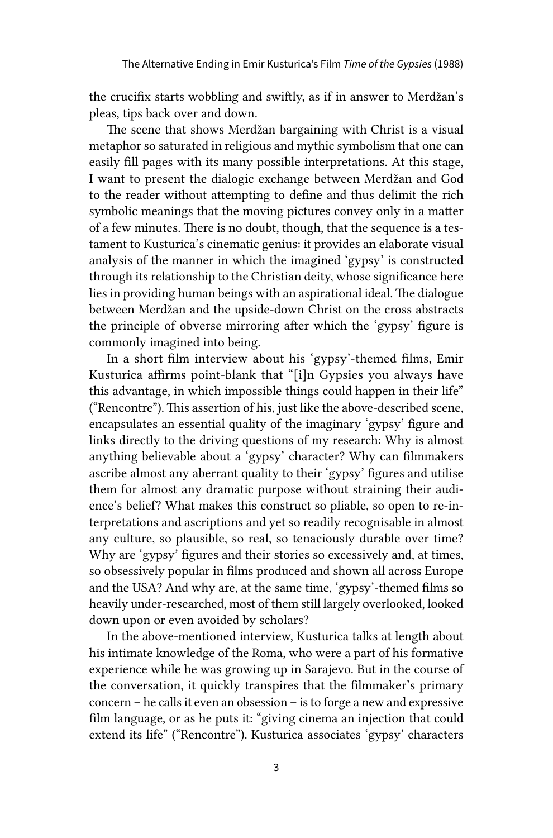the crucifix starts wobbling and swiftly, as if in answer to Merdžan's pleas, tips back over and down.

The scene that shows Merdžan bargaining with Christ is a visual metaphor so saturated in religious and mythic symbolism that one can easily fill pages with its many possible interpretations. At this stage, I want to present the dialogic exchange between Merdžan and God to the reader without attempting to define and thus delimit the rich symbolic meanings that the moving pictures convey only in a matter of a few minutes. There is no doubt, though, that the sequence is a testament to Kusturica's cinematic genius: it provides an elaborate visual analysis of the manner in which the imagined 'gypsy' is constructed through its relationship to the Christian deity, whose significance here lies in providing human beings with an aspirational ideal. The dialogue between Merdžan and the upside-down Christ on the cross abstracts the principle of obverse mirroring after which the 'gypsy' figure is commonly imagined into being.

In a short film interview about his 'gypsy'-themed films, Emir Kusturica affirms point-blank that "[i]n Gypsies you always have this advantage, in which impossible things could happen in their life" ("Rencontre"). This assertion of his, just like the above-described scene, encapsulates an essential quality of the imaginary 'gypsy' figure and links directly to the driving questions of my research: Why is almost anything believable about a 'gypsy' character? Why can filmmakers ascribe almost any aberrant quality to their 'gypsy' figures and utilise them for almost any dramatic purpose without straining their audience's belief? What makes this construct so pliable, so open to re-interpretations and ascriptions and yet so readily recognisable in almost any culture, so plausible, so real, so tenaciously durable over time? Why are 'gypsy' figures and their stories so excessively and, at times, so obsessively popular in films produced and shown all across Europe and the USA? And why are, at the same time, 'gypsy'-themed films so heavily under-researched, most of them still largely overlooked, looked down upon or even avoided by scholars?

In the above-mentioned interview, Kusturica talks at length about his intimate knowledge of the Roma, who were a part of his formative experience while he was growing up in Sarajevo. But in the course of the conversation, it quickly transpires that the filmmaker's primary concern – he calls it even an obsession – is to forge a new and expressive film language, or as he puts it: "giving cinema an injection that could extend its life" ("Rencontre"). Kusturica associates 'gypsy' characters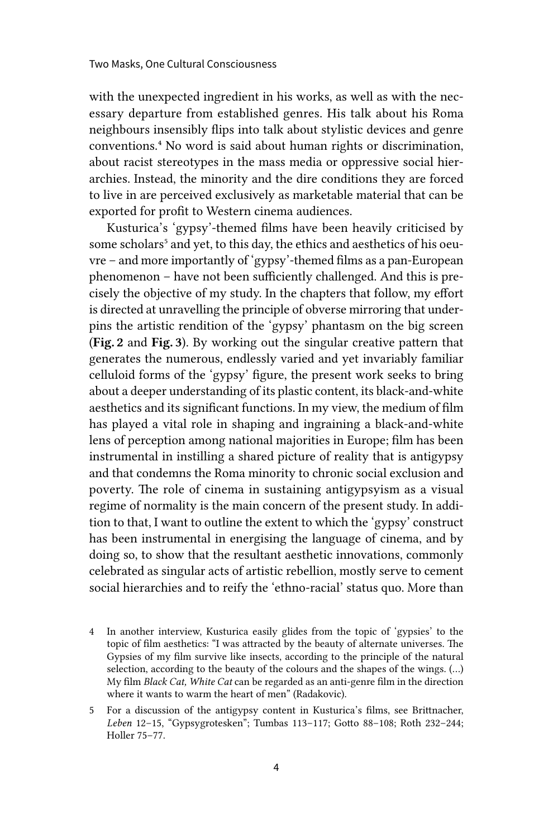with the unexpected ingredient in his works, as well as with the necessary departure from established genres. His talk about his Roma neighbours insensibly flips into talk about stylistic devices and genre conventions.4 No word is said about human rights or discrimination, about racist stereotypes in the mass media or oppressive social hierarchies. Instead, the minority and the dire conditions they are forced to live in are perceived exclusively as marketable material that can be exported for profit to Western cinema audiences.

Kusturica's 'gypsy'-themed films have been heavily criticised by some scholars<sup>5</sup> and yet, to this day, the ethics and aesthetics of his oeuvre – and more importantly of 'gypsy'-themed films as a pan-European phenomenon – have not been sufficiently challenged. And this is precisely the objective of my study. In the chapters that follow, my effort is directed at unravelling the principle of obverse mirroring that underpins the artistic rendition of the 'gypsy' phantasm on the big screen (Fig. 2 and Fig. 3). By working out the singular creative pattern that generates the numerous, endlessly varied and yet invariably familiar celluloid forms of the 'gypsy' figure, the present work seeks to bring about a deeper understanding of its plastic content, its black-and-white aesthetics and its significant functions. In my view, the medium of film has played a vital role in shaping and ingraining a black-and-white lens of perception among national majorities in Europe; film has been instrumental in instilling a shared picture of reality that is antigypsy and that condemns the Roma minority to chronic social exclusion and poverty. The role of cinema in sustaining antigypsyism as a visual regime of normality is the main concern of the present study. In addition to that, I want to outline the extent to which the 'gypsy' construct has been instrumental in energising the language of cinema, and by doing so, to show that the resultant aesthetic innovations, commonly celebrated as singular acts of artistic rebellion, mostly serve to cement social hierarchies and to reify the 'ethno-racial' status quo. More than

- 4 In another interview, Kusturica easily glides from the topic of 'gypsies' to the topic of film aesthetics: "I was attracted by the beauty of alternate universes. The Gypsies of my film survive like insects, according to the principle of the natural selection, according to the beauty of the colours and the shapes of the wings. (…) My film *Black Cat, White Cat* can be regarded as an anti-genre film in the direction where it wants to warm the heart of men" (Radakovic).
- 5 For a discussion of the antigypsy content in Kusturica's films, see Brittnacher, *Leben* 12–15, "Gypsygrotesken"; Tumbas 113–117; Gotto 88–108; Roth 232–244; Holler 75–77.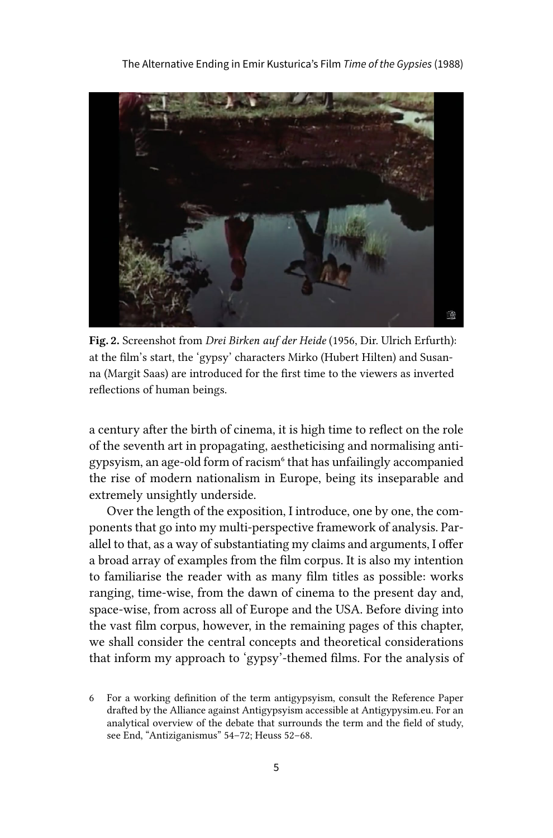

Fig. 2. Screenshot from *Drei Birken auf der Heide* (1956, Dir. Ulrich Erfurth): at the film's start, the 'gypsy' characters Mirko (Hubert Hilten) and Susanna (Margit Saas) are introduced for the first time to the viewers as inverted reflections of human beings.

a century after the birth of cinema, it is high time to reflect on the role of the seventh art in propagating, aestheticising and normalising antigypsyism, an age-old form of racism<sup>6</sup> that has unfailingly accompanied the rise of modern nationalism in Europe, being its inseparable and extremely unsightly underside.

Over the length of the exposition, I introduce, one by one, the components that go into my multi-perspective framework of analysis. Parallel to that, as a way of substantiating my claims and arguments, I offer a broad array of examples from the film corpus. It is also my intention to familiarise the reader with as many film titles as possible: works ranging, time-wise, from the dawn of cinema to the present day and, space-wise, from across all of Europe and the USA. Before diving into the vast film corpus, however, in the remaining pages of this chapter, we shall consider the central concepts and theoretical considerations that inform my approach to 'gypsy'-themed films. For the analysis of

<sup>6</sup> For a working definition of the term antigypsyism, consult the Reference Paper drafted by the Alliance against Antigypsyism accessible at Antigypysim.eu. For an analytical overview of the debate that surrounds the term and the field of study, see End, "Antiziganismus" 54–72; Heuss 52–68.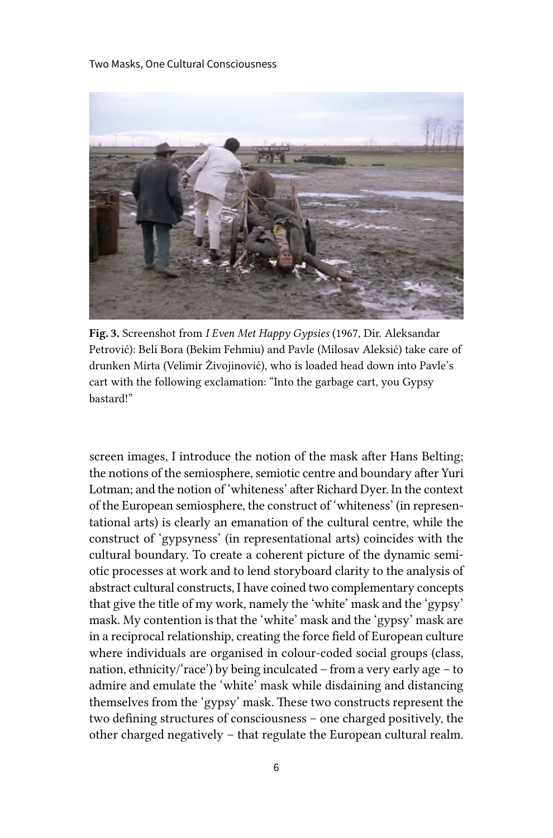Two Masks, One Cultural Consciousness



Fig. 3. Screenshot from *I Even Met Happy Gypsies* (1967, Dir. Aleksandar Petrović): Beli Bora (Bekim Fehmiu) and Pavle (Milosav Aleksić) take care of drunken Mirta (Velimir Živojinović), who is loaded head down into Pavle's cart with the following exclamation: "Into the garbage cart, you Gypsy bastard!"

screen images, I introduce the notion of the mask after Hans Belting; the notions of the semiosphere, semiotic centre and boundary after Yuri Lotman; and the notion of 'whiteness' after Richard Dyer. In the context of the European semiosphere, the construct of 'whiteness' (in representational arts) is clearly an emanation of the cultural centre, while the construct of 'gypsyness' (in representational arts) coincides with the cultural boundary. To create a coherent picture of the dynamic semiotic processes at work and to lend storyboard clarity to the analysis of abstract cultural constructs, I have coined two complementary concepts that give the title of my work, namely the 'white' mask and the 'gypsy' mask. My contention is that the 'white' mask and the 'gypsy' mask are in a reciprocal relationship, creating the force field of European culture where individuals are organised in colour-coded social groups (class, nation, ethnicity/'race') by being inculcated – from a very early age – to admire and emulate the 'white' mask while disdaining and distancing themselves from the 'gypsy' mask. These two constructs represent the two defining structures of consciousness – one charged positively, the other charged negatively – that regulate the European cultural realm.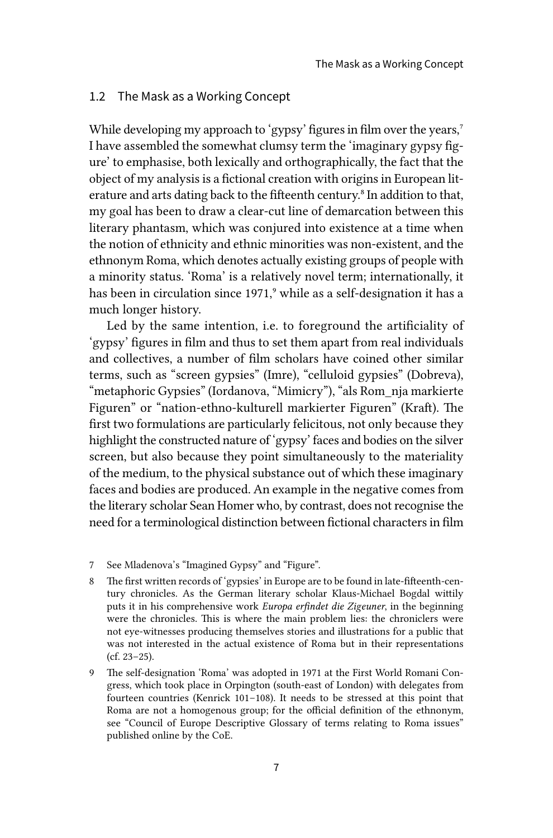#### 1.2 The Mask as a Working Concept

While developing my approach to 'gypsy' figures in film over the years,<sup>7</sup> I have assembled the somewhat clumsy term the 'imaginary gypsy figure' to emphasise, both lexically and orthographically, the fact that the object of my analysis is a fictional creation with origins in European literature and arts dating back to the fifteenth century.<sup>8</sup> In addition to that, my goal has been to draw a clear-cut line of demarcation between this literary phantasm, which was conjured into existence at a time when the notion of ethnicity and ethnic minorities was non-existent, and the ethnonym Roma, which denotes actually existing groups of people with a minority status. 'Roma' is a relatively novel term; internationally, it has been in circulation since 1971,<sup>9</sup> while as a self-designation it has a much longer history.

Led by the same intention, i.e. to foreground the artificiality of 'gypsy' figures in film and thus to set them apart from real individuals and collectives, a number of film scholars have coined other similar terms, such as "screen gypsies" (Imre), "celluloid gypsies" (Dobreva), "metaphoric Gypsies" (Iordanova, "Mimicry"), "als Rom\_nja markierte Figuren" or "nation-ethno-kulturell markierter Figuren" (Kraft). The first two formulations are particularly felicitous, not only because they highlight the constructed nature of 'gypsy' faces and bodies on the silver screen, but also because they point simultaneously to the materiality of the medium, to the physical substance out of which these imaginary faces and bodies are produced. An example in the negative comes from the literary scholar Sean Homer who, by contrast, does not recognise the need for a terminological distinction between fictional characters in film

- 8 The first written records of 'gypsies' in Europe are to be found in late-fifteenth-century chronicles. As the German literary scholar Klaus-Michael Bogdal wittily puts it in his comprehensive work *Europa erfindet die Zigeuner*, in the beginning were the chronicles. This is where the main problem lies: the chroniclers were not eye-witnesses producing themselves stories and illustrations for a public that was not interested in the actual existence of Roma but in their representations (cf. 23–25).
- 9 The self-designation 'Roma' was adopted in 1971 at the First World Romani Congress, which took place in Orpington (south-east of London) with delegates from fourteen countries (Kenrick 101–108). It needs to be stressed at this point that Roma are not a homogenous group; for the official definition of the ethnonym, see "Council of Europe Descriptive Glossary of terms relating to Roma issues" published online by the CoE.

<sup>7</sup> See Mladenova's "Imagined Gypsy" and "Figure".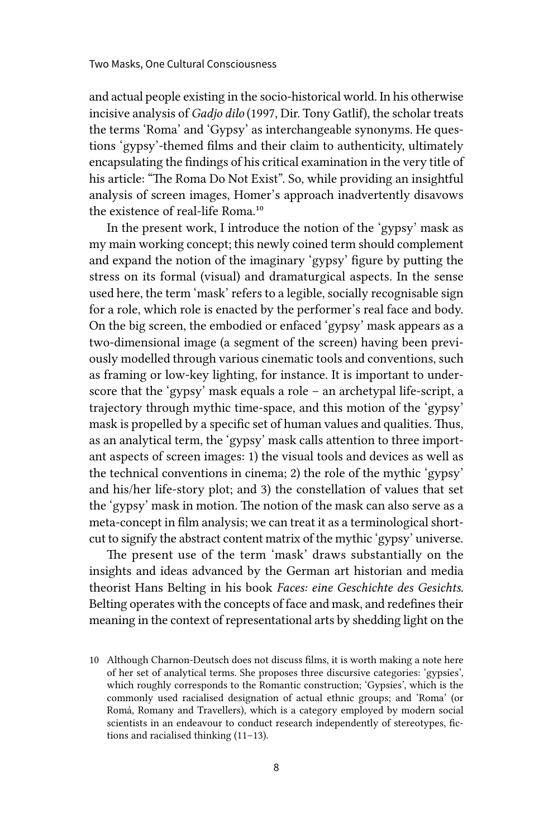and actual people existing in the socio-historical world. In his otherwise incisive analysis of *Gadjo dilo* (1997, Dir. Tony Gatlif), the scholar treats the terms 'Roma' and 'Gypsy' as interchangeable synonyms. He questions 'gypsy'-themed films and their claim to authenticity, ultimately encapsulating the findings of his critical examination in the very title of his article: "The Roma Do Not Exist". So, while providing an insightful analysis of screen images, Homer's approach inadvertently disavows the existence of real-life Roma.<sup>10</sup>

In the present work, I introduce the notion of the 'gypsy' mask as my main working concept; this newly coined term should complement and expand the notion of the imaginary 'gypsy' figure by putting the stress on its formal (visual) and dramaturgical aspects. In the sense used here, the term 'mask' refers to a legible, socially recognisable sign for a role, which role is enacted by the performer's real face and body. On the big screen, the embodied or enfaced 'gypsy' mask appears as a two-dimensional image (a segment of the screen) having been previously modelled through various cinematic tools and conventions, such as framing or low-key lighting, for instance. It is important to underscore that the 'gypsy' mask equals a role – an archetypal life-script, a trajectory through mythic time-space, and this motion of the 'gypsy' mask is propelled by a specific set of human values and qualities. Thus, as an analytical term, the 'gypsy' mask calls attention to three important aspects of screen images: 1) the visual tools and devices as well as the technical conventions in cinema; 2) the role of the mythic 'gypsy' and his/her life-story plot; and 3) the constellation of values that set the 'gypsy' mask in motion. The notion of the mask can also serve as a meta-concept in film analysis; we can treat it as a terminological shortcut to signify the abstract content matrix of the mythic 'gypsy' universe.

The present use of the term 'mask' draws substantially on the insights and ideas advanced by the German art historian and media theorist Hans Belting in his book *Faces: eine Geschichte des Gesichts*. Belting operates with the concepts of face and mask, and redefines their meaning in the context of representational arts by shedding light on the

<sup>10</sup> Although Charnon-Deutsch does not discuss films, it is worth making a note here of her set of analytical terms. She proposes three discursive categories: 'gypsies', which roughly corresponds to the Romantic construction; 'Gypsies', which is the commonly used racialised designation of actual ethnic groups; and 'Roma' (or Romá, Romany and Travellers), which is a category employed by modern social scientists in an endeavour to conduct research independently of stereotypes, fictions and racialised thinking (11–13).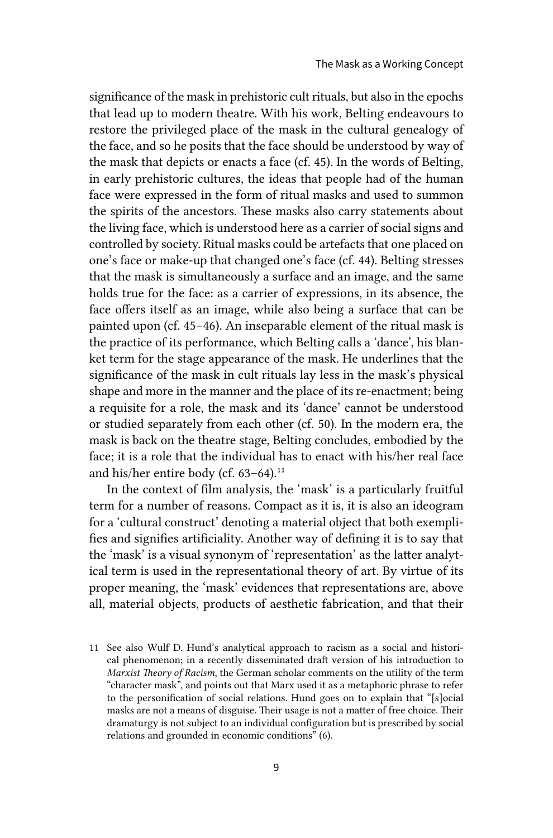significance of the mask in prehistoric cult rituals, but also in the epochs that lead up to modern theatre. With his work, Belting endeavours to restore the privileged place of the mask in the cultural genealogy of the face, and so he posits that the face should be understood by way of the mask that depicts or enacts a face (cf. 45). In the words of Belting, in early prehistoric cultures, the ideas that people had of the human face were expressed in the form of ritual masks and used to summon the spirits of the ancestors. These masks also carry statements about the living face, which is understood here as a carrier of social signs and controlled by society. Ritual masks could be artefacts that one placed on one's face or make-up that changed one's face (cf. 44). Belting stresses that the mask is simultaneously a surface and an image, and the same holds true for the face: as a carrier of expressions, in its absence, the face offers itself as an image, while also being a surface that can be painted upon (cf. 45–46). An inseparable element of the ritual mask is the practice of its performance, which Belting calls a 'dance', his blanket term for the stage appearance of the mask. He underlines that the significance of the mask in cult rituals lay less in the mask's physical shape and more in the manner and the place of its re-enactment; being a requisite for a role, the mask and its 'dance' cannot be understood or studied separately from each other (cf. 50). In the modern era, the mask is back on the theatre stage, Belting concludes, embodied by the face; it is a role that the individual has to enact with his/her real face and his/her entire body (cf. 63-64).<sup>11</sup>

In the context of film analysis, the 'mask' is a particularly fruitful term for a number of reasons. Compact as it is, it is also an ideogram for a 'cultural construct' denoting a material object that both exemplifies and signifies artificiality. Another way of defining it is to say that the 'mask' is a visual synonym of 'representation' as the latter analytical term is used in the representational theory of art. By virtue of its proper meaning, the 'mask' evidences that representations are, above all, material objects, products of aesthetic fabrication, and that their

<sup>11</sup> See also Wulf D. Hund's analytical approach to racism as a social and historical phenomenon; in a recently disseminated draft version of his introduction to *Marxist Theory of Racism*, the German scholar comments on the utility of the term "character mask", and points out that Marx used it as a metaphoric phrase to refer to the personification of social relations. Hund goes on to explain that "[s]ocial masks are not a means of disguise. Their usage is not a matter of free choice. Their dramaturgy is not subject to an individual configuration but is prescribed by social relations and grounded in economic conditions" (6).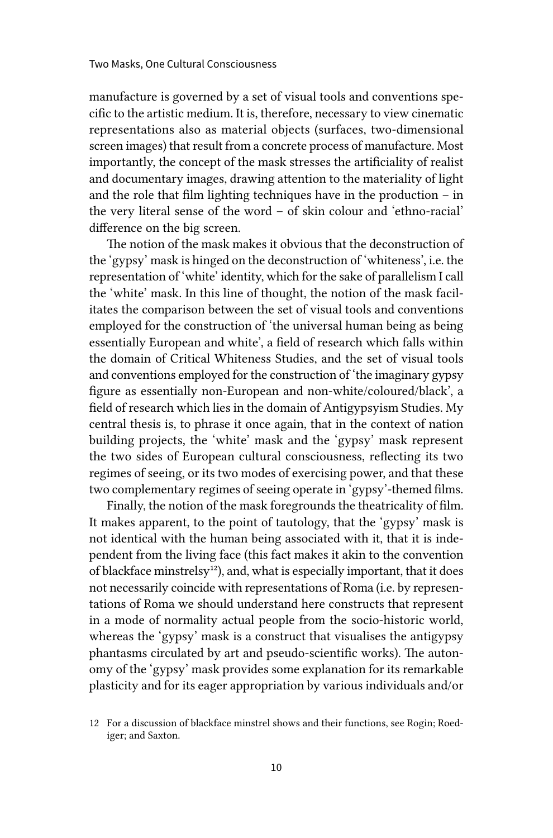manufacture is governed by a set of visual tools and conventions specific to the artistic medium. It is, therefore, necessary to view cinematic representations also as material objects (surfaces, two-dimensional screen images) that result from a concrete process of manufacture. Most importantly, the concept of the mask stresses the artificiality of realist and documentary images, drawing attention to the materiality of light and the role that film lighting techniques have in the production – in the very literal sense of the word – of skin colour and 'ethno-racial' difference on the big screen.

The notion of the mask makes it obvious that the deconstruction of the 'gypsy' mask is hinged on the deconstruction of 'whiteness', i.e. the representation of 'white' identity, which for the sake of parallelism I call the 'white' mask. In this line of thought, the notion of the mask facilitates the comparison between the set of visual tools and conventions employed for the construction of 'the universal human being as being essentially European and white', a field of research which falls within the domain of Critical Whiteness Studies, and the set of visual tools and conventions employed for the construction of 'the imaginary gypsy figure as essentially non-European and non-white/coloured/black', a field of research which lies in the domain of Antigypsyism Studies. My central thesis is, to phrase it once again, that in the context of nation building projects, the 'white' mask and the 'gypsy' mask represent the two sides of European cultural consciousness, reflecting its two regimes of seeing, or its two modes of exercising power, and that these two complementary regimes of seeing operate in 'gypsy'-themed films.

Finally, the notion of the mask foregrounds the theatricality of film. It makes apparent, to the point of tautology, that the 'gypsy' mask is not identical with the human being associated with it, that it is independent from the living face (this fact makes it akin to the convention of blackface minstrelsy<sup>12</sup>), and, what is especially important, that it does not necessarily coincide with representations of Roma (i.e. by representations of Roma we should understand here constructs that represent in a mode of normality actual people from the socio-historic world, whereas the 'gypsy' mask is a construct that visualises the antigypsy phantasms circulated by art and pseudo-scientific works). The autonomy of the 'gypsy' mask provides some explanation for its remarkable plasticity and for its eager appropriation by various individuals and/or

<sup>12</sup> For a discussion of blackface minstrel shows and their functions, see Rogin; Roediger; and Saxton.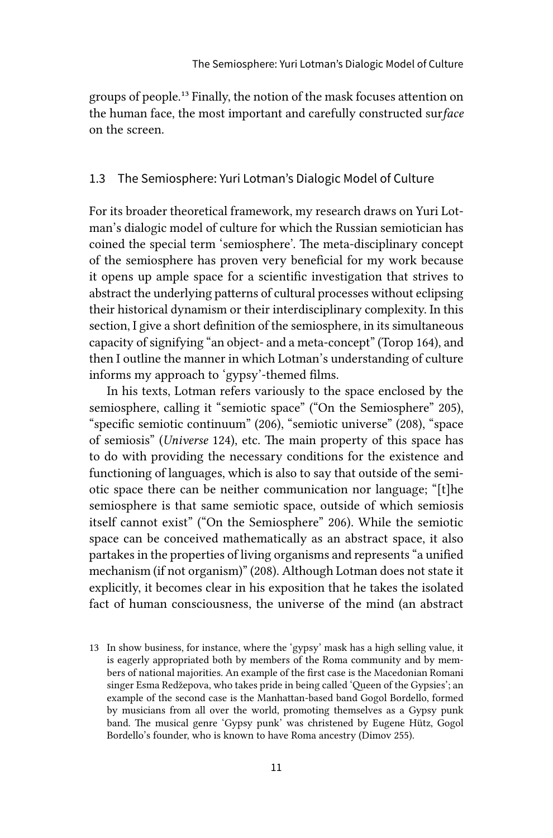groups of people.13 Finally, the notion of the mask focuses attention on the human face, the most important and carefully constructed sur*face* on the screen.

### 1.3 The Semiosphere: Yuri Lotman's Dialogic Model of Culture

For its broader theoretical framework, my research draws on Yuri Lotman's dialogic model of culture for which the Russian semiotician has coined the special term 'semiosphere'. The meta-disciplinary concept of the semiosphere has proven very beneficial for my work because it opens up ample space for a scientific investigation that strives to abstract the underlying patterns of cultural processes without eclipsing their historical dynamism or their interdisciplinary complexity. In this section, I give a short definition of the semiosphere, in its simultaneous capacity of signifying "an object- and a meta-concept" (Torop 164), and then I outline the manner in which Lotman's understanding of culture informs my approach to 'gypsy'-themed films.

In his texts, Lotman refers variously to the space enclosed by the semiosphere, calling it "semiotic space" ("On the Semiosphere" 205), "specific semiotic continuum" (206), "semiotic universe" (208), "space of semiosis" (*Universe* 124), etc. The main property of this space has to do with providing the necessary conditions for the existence and functioning of languages, which is also to say that outside of the semiotic space there can be neither communication nor language; "[t]he semiosphere is that same semiotic space, outside of which semiosis itself cannot exist" ("On the Semiosphere" 206). While the semiotic space can be conceived mathematically as an abstract space, it also partakes in the properties of living organisms and represents "a unified mechanism (if not organism)" (208). Although Lotman does not state it explicitly, it becomes clear in his exposition that he takes the isolated fact of human consciousness, the universe of the mind (an abstract

<sup>13</sup> In show business, for instance, where the 'gypsy' mask has a high selling value, it is eagerly appropriated both by members of the Roma community and by members of national majorities. An example of the first case is the Macedonian Romani singer Esma Redžepova, who takes pride in being called 'Queen of the Gypsies'; an example of the second case is the Manhattan-based band Gogol Bordello, formed by musicians from all over the world, promoting themselves as a Gypsy punk band. The musical genre 'Gypsy punk' was christened by Eugene Hütz, Gogol Bordello's founder, who is known to have Roma ancestry (Dimov 255).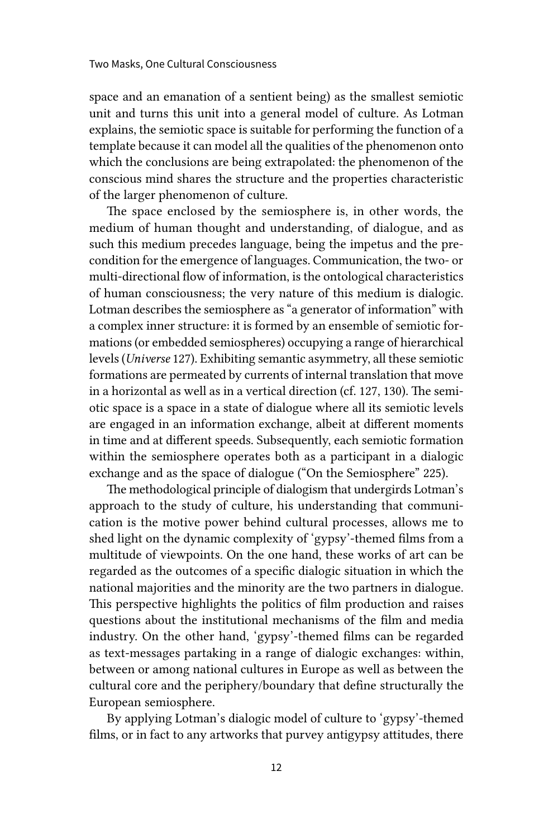space and an emanation of a sentient being) as the smallest semiotic unit and turns this unit into a general model of culture. As Lotman explains, the semiotic space is suitable for performing the function of a template because it can model all the qualities of the phenomenon onto which the conclusions are being extrapolated: the phenomenon of the conscious mind shares the structure and the properties characteristic of the larger phenomenon of culture.

The space enclosed by the semiosphere is, in other words, the medium of human thought and understanding, of dialogue, and as such this medium precedes language, being the impetus and the precondition for the emergence of languages. Communication, the two- or multi-directional flow of information, is the ontological characteristics of human consciousness; the very nature of this medium is dialogic. Lotman describes the semiosphere as "a generator of information" with a complex inner structure: it is formed by an ensemble of semiotic formations (or embedded semiospheres) occupying a range of hierarchical levels (*Universe* 127). Exhibiting semantic asymmetry, all these semiotic formations are permeated by currents of internal translation that move in a horizontal as well as in a vertical direction (cf. 127, 130). The semiotic space is a space in a state of dialogue where all its semiotic levels are engaged in an information exchange, albeit at different moments in time and at different speeds. Subsequently, each semiotic formation within the semiosphere operates both as a participant in a dialogic exchange and as the space of dialogue ("On the Semiosphere" 225).

The methodological principle of dialogism that undergirds Lotman's approach to the study of culture, his understanding that communication is the motive power behind cultural processes, allows me to shed light on the dynamic complexity of 'gypsy'-themed films from a multitude of viewpoints. On the one hand, these works of art can be regarded as the outcomes of a specific dialogic situation in which the national majorities and the minority are the two partners in dialogue. This perspective highlights the politics of film production and raises questions about the institutional mechanisms of the film and media industry. On the other hand, 'gypsy'-themed films can be regarded as text-messages partaking in a range of dialogic exchanges: within, between or among national cultures in Europe as well as between the cultural core and the periphery/boundary that define structurally the European semiosphere.

By applying Lotman's dialogic model of culture to 'gypsy'-themed films, or in fact to any artworks that purvey antigypsy attitudes, there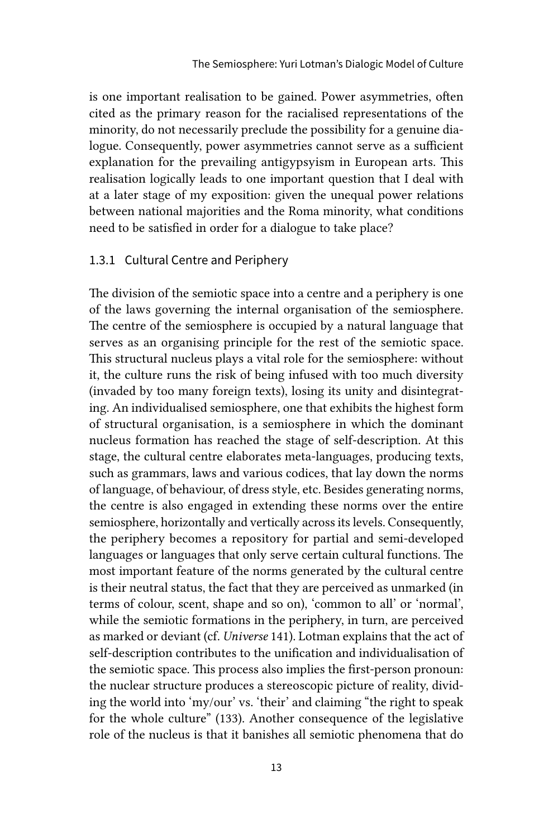is one important realisation to be gained. Power asymmetries, often cited as the primary reason for the racialised representations of the minority, do not necessarily preclude the possibility for a genuine dialogue. Consequently, power asymmetries cannot serve as a sufficient explanation for the prevailing antigypsyism in European arts. This realisation logically leads to one important question that I deal with at a later stage of my exposition: given the unequal power relations between national majorities and the Roma minority, what conditions need to be satisfied in order for a dialogue to take place?

#### 1.3.1 Cultural Centre and Periphery

The division of the semiotic space into a centre and a periphery is one of the laws governing the internal organisation of the semiosphere. The centre of the semiosphere is occupied by a natural language that serves as an organising principle for the rest of the semiotic space. This structural nucleus plays a vital role for the semiosphere: without it, the culture runs the risk of being infused with too much diversity (invaded by too many foreign texts), losing its unity and disintegrating. An individualised semiosphere, one that exhibits the highest form of structural organisation, is a semiosphere in which the dominant nucleus formation has reached the stage of self-description. At this stage, the cultural centre elaborates meta-languages, producing texts, such as grammars, laws and various codices, that lay down the norms of language, of behaviour, of dress style, etc. Besides generating norms, the centre is also engaged in extending these norms over the entire semiosphere, horizontally and vertically across its levels. Consequently, the periphery becomes a repository for partial and semi-developed languages or languages that only serve certain cultural functions. The most important feature of the norms generated by the cultural centre is their neutral status, the fact that they are perceived as unmarked (in terms of colour, scent, shape and so on), 'common to all' or 'normal', while the semiotic formations in the periphery, in turn, are perceived as marked or deviant (cf. *Universe* 141). Lotman explains that the act of self-description contributes to the unification and individualisation of the semiotic space. This process also implies the first-person pronoun: the nuclear structure produces a stereoscopic picture of reality, dividing the world into 'my/our' vs. 'their' and claiming "the right to speak for the whole culture" (133). Another consequence of the legislative role of the nucleus is that it banishes all semiotic phenomena that do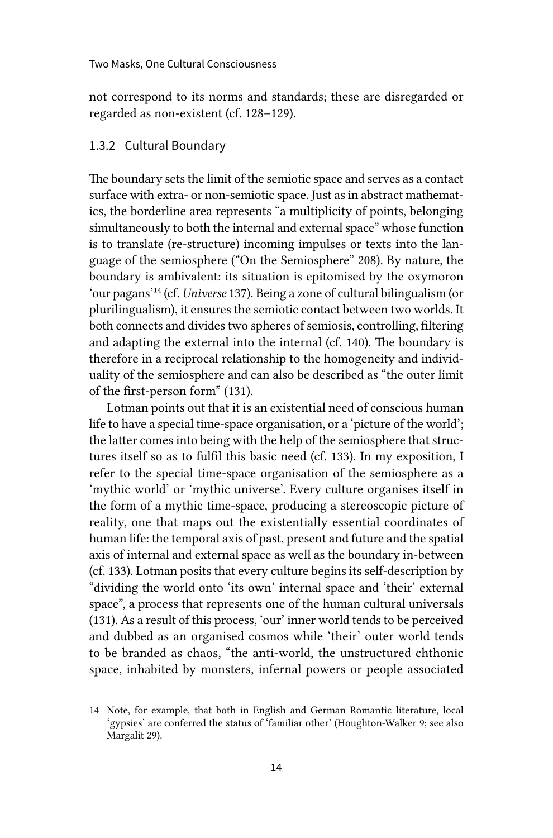not correspond to its norms and standards; these are disregarded or regarded as non-existent (cf. 128–129).

#### 1.3.2 Cultural Boundary

The boundary sets the limit of the semiotic space and serves as a contact surface with extra- or non-semiotic space. Just as in abstract mathematics, the borderline area represents "a multiplicity of points, belonging simultaneously to both the internal and external space" whose function is to translate (re-structure) incoming impulses or texts into the language of the semiosphere ("On the Semiosphere" 208). By nature, the boundary is ambivalent: its situation is epitomised by the oxymoron 'our pagans'14 (cf. *Universe* 137). Being a zone of cultural bilingualism (or plurilingualism), it ensures the semiotic contact between two worlds. It both connects and divides two spheres of semiosis, controlling, filtering and adapting the external into the internal (cf. 140). The boundary is therefore in a reciprocal relationship to the homogeneity and individuality of the semiosphere and can also be described as "the outer limit of the first-person form" (131).

Lotman points out that it is an existential need of conscious human life to have a special time-space organisation, or a 'picture of the world'; the latter comes into being with the help of the semiosphere that structures itself so as to fulfil this basic need (cf. 133). In my exposition, I refer to the special time-space organisation of the semiosphere as a 'mythic world' or 'mythic universe'. Every culture organises itself in the form of a mythic time-space, producing a stereoscopic picture of reality, one that maps out the existentially essential coordinates of human life: the temporal axis of past, present and future and the spatial axis of internal and external space as well as the boundary in-between (cf. 133). Lotman posits that every culture begins its self-description by "dividing the world onto 'its own' internal space and 'their' external space", a process that represents one of the human cultural universals (131). As a result of this process, 'our' inner world tends to be perceived and dubbed as an organised cosmos while 'their' outer world tends to be branded as chaos, "the anti-world, the unstructured chthonic space, inhabited by monsters, infernal powers or people associated

<sup>14</sup> Note, for example, that both in English and German Romantic literature, local 'gypsies' are conferred the status of 'familiar other' (Houghton-Walker 9; see also Margalit 29).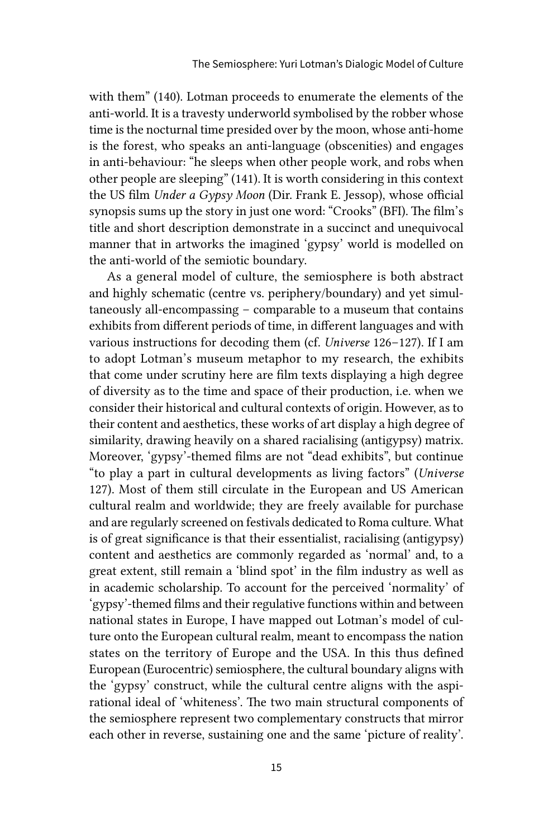with them" (140). Lotman proceeds to enumerate the elements of the anti-world. It is a travesty underworld symbolised by the robber whose time is the nocturnal time presided over by the moon, whose anti-home is the forest, who speaks an anti-language (obscenities) and engages in anti-behaviour: "he sleeps when other people work, and robs when other people are sleeping" (141). It is worth considering in this context the US film *Under a Gypsy Moon* (Dir. Frank E. Jessop), whose official synopsis sums up the story in just one word: "Crooks" (BFI). The film's title and short description demonstrate in a succinct and unequivocal manner that in artworks the imagined 'gypsy' world is modelled on the anti-world of the semiotic boundary.

As a general model of culture, the semiosphere is both abstract and highly schematic (centre vs. periphery/boundary) and yet simultaneously all-encompassing – comparable to a museum that contains exhibits from different periods of time, in different languages and with various instructions for decoding them (cf. *Universe* 126–127). If I am to adopt Lotman's museum metaphor to my research, the exhibits that come under scrutiny here are film texts displaying a high degree of diversity as to the time and space of their production, i.e. when we consider their historical and cultural contexts of origin. However, as to their content and aesthetics, these works of art display a high degree of similarity, drawing heavily on a shared racialising (antigypsy) matrix. Moreover, 'gypsy'-themed films are not "dead exhibits", but continue "to play a part in cultural developments as living factors" (*Universe* 127). Most of them still circulate in the European and US American cultural realm and worldwide; they are freely available for purchase and are regularly screened on festivals dedicated to Roma culture. What is of great significance is that their essentialist, racialising (antigypsy) content and aesthetics are commonly regarded as 'normal' and, to a great extent, still remain a 'blind spot' in the film industry as well as in academic scholarship. To account for the perceived 'normality' of 'gypsy'-themed films and their regulative functions within and between national states in Europe, I have mapped out Lotman's model of culture onto the European cultural realm, meant to encompass the nation states on the territory of Europe and the USA. In this thus defined European (Eurocentric) semiosphere, the cultural boundary aligns with the 'gypsy' construct, while the cultural centre aligns with the aspirational ideal of 'whiteness'. The two main structural components of the semiosphere represent two complementary constructs that mirror each other in reverse, sustaining one and the same 'picture of reality'.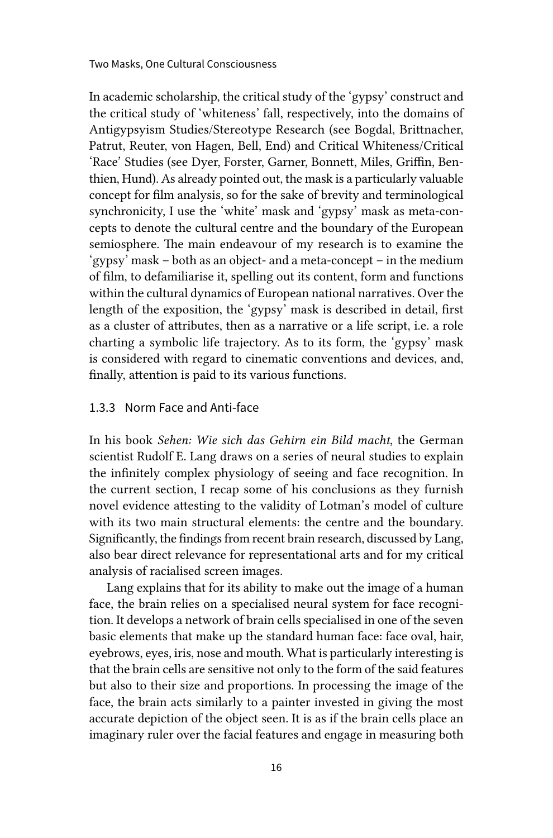In academic scholarship, the critical study of the 'gypsy' construct and the critical study of 'whiteness' fall, respectively, into the domains of Antigypsyism Studies/Stereotype Research (see Bogdal, Brittnacher, Patrut, Reuter, von Hagen, Bell, End) and Critical Whiteness/Critical 'Race' Studies (see Dyer, Forster, Garner, Bonnett, Miles, Griffin, Benthien, Hund). As already pointed out, the mask is a particularly valuable concept for film analysis, so for the sake of brevity and terminological synchronicity, I use the 'white' mask and 'gypsy' mask as meta-concepts to denote the cultural centre and the boundary of the European semiosphere. The main endeavour of my research is to examine the 'gypsy' mask – both as an object- and a meta-concept – in the medium of film, to defamiliarise it, spelling out its content, form and functions within the cultural dynamics of European national narratives. Over the length of the exposition, the 'gypsy' mask is described in detail, first as a cluster of attributes, then as a narrative or a life script, i.e. a role charting a symbolic life trajectory. As to its form, the 'gypsy' mask is considered with regard to cinematic conventions and devices, and, finally, attention is paid to its various functions.

#### 1.3.3 Norm Face and Anti-face

In his book *Sehen: Wie sich das Gehirn ein Bild macht*, the German scientist Rudolf E. Lang draws on a series of neural studies to explain the infinitely complex physiology of seeing and face recognition. In the current section, I recap some of his conclusions as they furnish novel evidence attesting to the validity of Lotman's model of culture with its two main structural elements: the centre and the boundary. Significantly, the findings from recent brain research, discussed by Lang, also bear direct relevance for representational arts and for my critical analysis of racialised screen images.

Lang explains that for its ability to make out the image of a human face, the brain relies on a specialised neural system for face recognition. It develops a network of brain cells specialised in one of the seven basic elements that make up the standard human face: face oval, hair, eyebrows, eyes, iris, nose and mouth. What is particularly interesting is that the brain cells are sensitive not only to the form of the said features but also to their size and proportions. In processing the image of the face, the brain acts similarly to a painter invested in giving the most accurate depiction of the object seen. It is as if the brain cells place an imaginary ruler over the facial features and engage in measuring both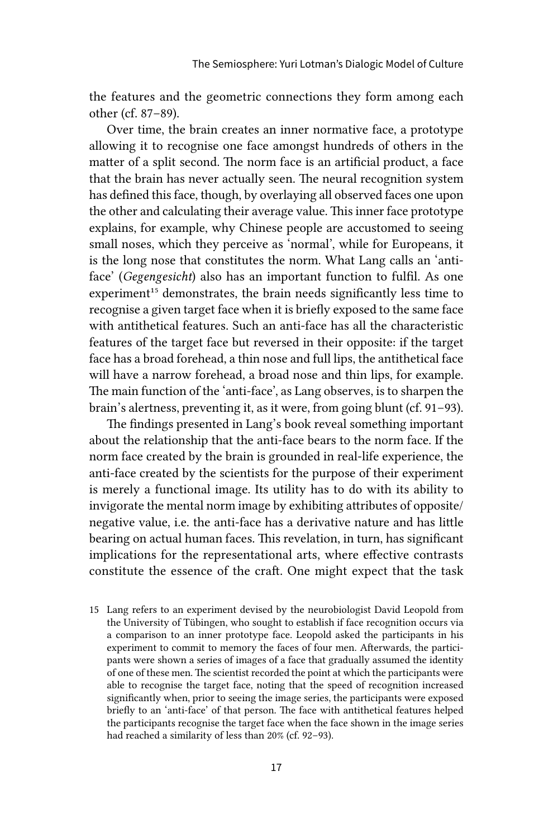the features and the geometric connections they form among each other (cf. 87–89).

Over time, the brain creates an inner normative face, a prototype allowing it to recognise one face amongst hundreds of others in the matter of a split second. The norm face is an artificial product, a face that the brain has never actually seen. The neural recognition system has defined this face, though, by overlaying all observed faces one upon the other and calculating their average value. This inner face prototype explains, for example, why Chinese people are accustomed to seeing small noses, which they perceive as 'normal', while for Europeans, it is the long nose that constitutes the norm. What Lang calls an 'antiface' (*Gegengesicht*) also has an important function to fulfil. As one experiment<sup>15</sup> demonstrates, the brain needs significantly less time to recognise a given target face when it is briefly exposed to the same face with antithetical features. Such an anti-face has all the characteristic features of the target face but reversed in their opposite: if the target face has a broad forehead, a thin nose and full lips, the antithetical face will have a narrow forehead, a broad nose and thin lips, for example. The main function of the 'anti-face', as Lang observes, is to sharpen the brain's alertness, preventing it, as it were, from going blunt (cf. 91–93).

The findings presented in Lang's book reveal something important about the relationship that the anti-face bears to the norm face. If the norm face created by the brain is grounded in real-life experience, the anti-face created by the scientists for the purpose of their experiment is merely a functional image. Its utility has to do with its ability to invigorate the mental norm image by exhibiting attributes of opposite/ negative value, i.e. the anti-face has a derivative nature and has little bearing on actual human faces. This revelation, in turn, has significant implications for the representational arts, where effective contrasts constitute the essence of the craft. One might expect that the task

15 Lang refers to an experiment devised by the neurobiologist David Leopold from the University of Tübingen, who sought to establish if face recognition occurs via a comparison to an inner prototype face. Leopold asked the participants in his experiment to commit to memory the faces of four men. Afterwards, the participants were shown a series of images of a face that gradually assumed the identity of one of these men. The scientist recorded the point at which the participants were able to recognise the target face, noting that the speed of recognition increased significantly when, prior to seeing the image series, the participants were exposed briefly to an 'anti-face' of that person. The face with antithetical features helped the participants recognise the target face when the face shown in the image series had reached a similarity of less than 20% (cf. 92–93).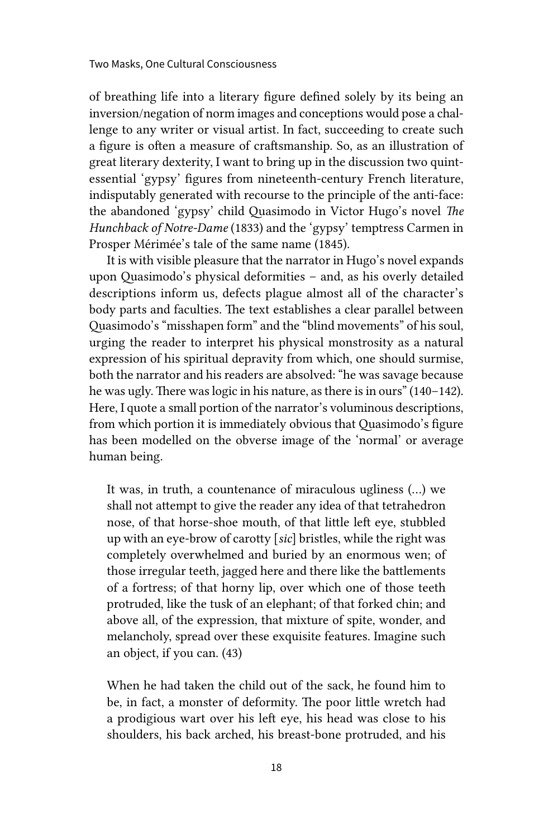of breathing life into a literary figure defined solely by its being an inversion/negation of norm images and conceptions would pose a challenge to any writer or visual artist. In fact, succeeding to create such a figure is often a measure of craftsmanship. So, as an illustration of great literary dexterity, I want to bring up in the discussion two quintessential 'gypsy' figures from nineteenth-century French literature, indisputably generated with recourse to the principle of the anti-face: the abandoned 'gypsy' child Quasimodo in Victor Hugo's novel *The Hunchback of Notre-Dame* (1833) and the 'gypsy' temptress Carmen in Prosper Mérimée's tale of the same name (1845).

It is with visible pleasure that the narrator in Hugo's novel expands upon Quasimodo's physical deformities – and, as his overly detailed descriptions inform us, defects plague almost all of the character's body parts and faculties. The text establishes a clear parallel between Quasimodo's "misshapen form" and the "blind movements" of his soul, urging the reader to interpret his physical monstrosity as a natural expression of his spiritual depravity from which, one should surmise, both the narrator and his readers are absolved: "he was savage because he was ugly. There was logic in his nature, as there is in ours" (140–142). Here, I quote a small portion of the narrator's voluminous descriptions, from which portion it is immediately obvious that Quasimodo's figure has been modelled on the obverse image of the 'normal' or average human being.

It was, in truth, a countenance of miraculous ugliness (…) we shall not attempt to give the reader any idea of that tetrahedron nose, of that horse-shoe mouth, of that little left eye, stubbled up with an eye-brow of carotty [*sic*] bristles, while the right was completely overwhelmed and buried by an enormous wen; of those irregular teeth, jagged here and there like the battlements of a fortress; of that horny lip, over which one of those teeth protruded, like the tusk of an elephant; of that forked chin; and above all, of the expression, that mixture of spite, wonder, and melancholy, spread over these exquisite features. Imagine such an object, if you can. (43)

When he had taken the child out of the sack, he found him to be, in fact, a monster of deformity. The poor little wretch had a prodigious wart over his left eye, his head was close to his shoulders, his back arched, his breast-bone protruded, and his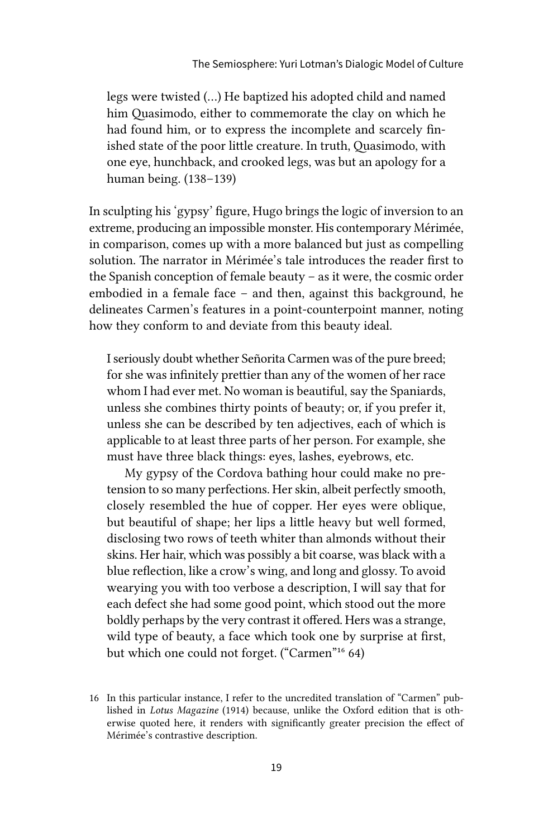legs were twisted (…) He baptized his adopted child and named him Quasimodo, either to commemorate the clay on which he had found him, or to express the incomplete and scarcely finished state of the poor little creature. In truth, Quasimodo, with one eye, hunchback, and crooked legs, was but an apology for a human being. (138–139)

In sculpting his 'gypsy' figure, Hugo brings the logic of inversion to an extreme, producing an impossible monster. His contemporary Mérimée, in comparison, comes up with a more balanced but just as compelling solution. The narrator in Mérimée's tale introduces the reader first to the Spanish conception of female beauty – as it were, the cosmic order embodied in a female face – and then, against this background, he delineates Carmen's features in a point-counterpoint manner, noting how they conform to and deviate from this beauty ideal.

I seriously doubt whether Señorita Carmen was of the pure breed; for she was infinitely prettier than any of the women of her race whom I had ever met. No woman is beautiful, say the Spaniards, unless she combines thirty points of beauty; or, if you prefer it, unless she can be described by ten adjectives, each of which is applicable to at least three parts of her person. For example, she must have three black things: eyes, lashes, eyebrows, etc.

My gypsy of the Cordova bathing hour could make no pretension to so many perfections. Her skin, albeit perfectly smooth, closely resembled the hue of copper. Her eyes were oblique, but beautiful of shape; her lips a little heavy but well formed, disclosing two rows of teeth whiter than almonds without their skins. Her hair, which was possibly a bit coarse, was black with a blue reflection, like a crow's wing, and long and glossy. To avoid wearying you with too verbose a description, I will say that for each defect she had some good point, which stood out the more boldly perhaps by the very contrast it offered. Hers was a strange, wild type of beauty, a face which took one by surprise at first, but which one could not forget. ("Carmen"16 64)

<sup>16</sup> In this particular instance, I refer to the uncredited translation of "Carmen" published in *Lotus Magazine* (1914) because, unlike the Oxford edition that is otherwise quoted here, it renders with significantly greater precision the effect of Mérimée's contrastive description.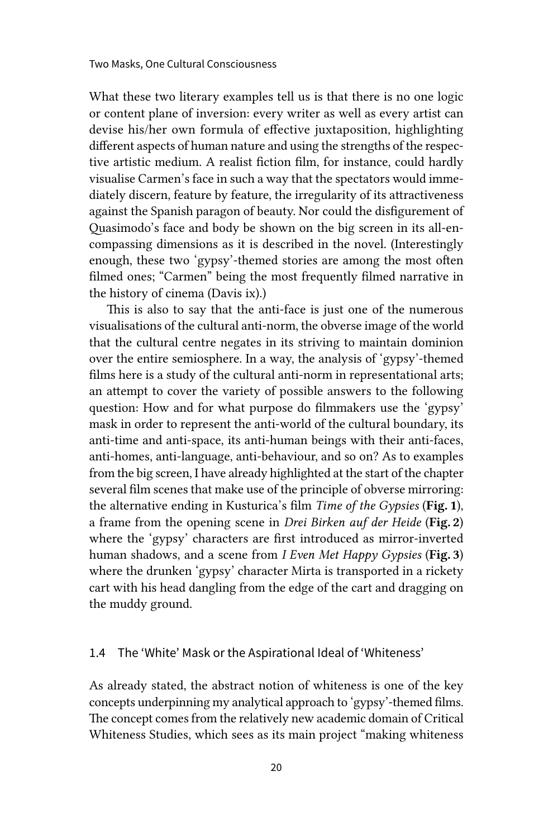What these two literary examples tell us is that there is no one logic or content plane of inversion: every writer as well as every artist can devise his/her own formula of effective juxtaposition, highlighting different aspects of human nature and using the strengths of the respective artistic medium. A realist fiction film, for instance, could hardly visualise Carmen's face in such a way that the spectators would immediately discern, feature by feature, the irregularity of its attractiveness against the Spanish paragon of beauty. Nor could the disfigurement of Quasimodo's face and body be shown on the big screen in its all-encompassing dimensions as it is described in the novel. (Interestingly enough, these two 'gypsy'-themed stories are among the most often filmed ones; "Carmen" being the most frequently filmed narrative in the history of cinema (Davis ix).)

This is also to say that the anti-face is just one of the numerous visualisations of the cultural anti-norm, the obverse image of the world that the cultural centre negates in its striving to maintain dominion over the entire semiosphere. In a way, the analysis of 'gypsy'-themed films here is a study of the cultural anti-norm in representational arts; an attempt to cover the variety of possible answers to the following question: How and for what purpose do filmmakers use the 'gypsy' mask in order to represent the anti-world of the cultural boundary, its anti-time and anti-space, its anti-human beings with their anti-faces, anti-homes, anti-language, anti-behaviour, and so on? As to examples from the big screen, I have already highlighted at the start of the chapter several film scenes that make use of the principle of obverse mirroring: the alternative ending in Kusturica's film *Time of the Gypsies* (Fig. 1), a frame from the opening scene in *Drei Birken auf der Heide* (Fig. 2) where the 'gypsy' characters are first introduced as mirror-inverted human shadows, and a scene from *I Even Met Happy Gypsies* (Fig. 3) where the drunken 'gypsy' character Mirta is transported in a rickety cart with his head dangling from the edge of the cart and dragging on the muddy ground.

#### 1.4 The 'White' Mask or the Aspirational Ideal of 'Whiteness'

As already stated, the abstract notion of whiteness is one of the key concepts underpinning my analytical approach to 'gypsy'-themed films. The concept comes from the relatively new academic domain of Critical Whiteness Studies, which sees as its main project "making whiteness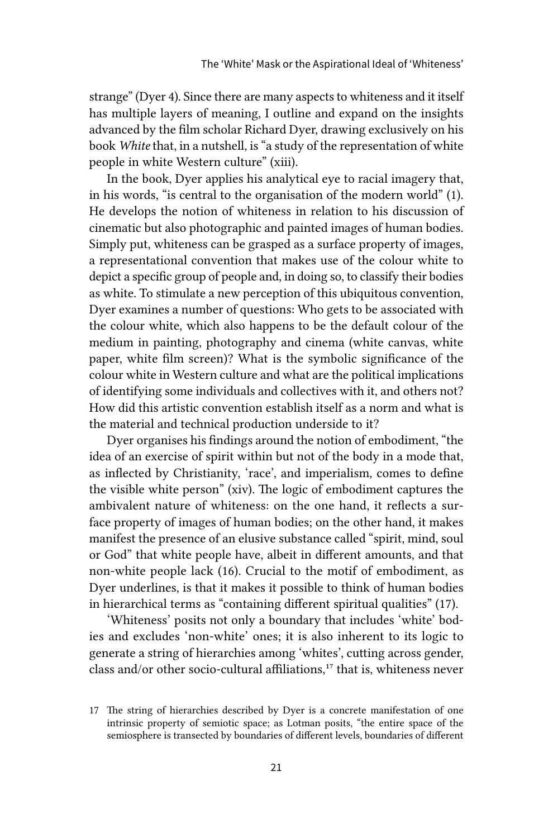strange" (Dyer 4). Since there are many aspects to whiteness and it itself has multiple layers of meaning, I outline and expand on the insights advanced by the film scholar Richard Dyer, drawing exclusively on his book *White* that, in a nutshell, is "a study of the representation of white people in white Western culture" (xiii).

In the book, Dyer applies his analytical eye to racial imagery that, in his words, "is central to the organisation of the modern world" (1). He develops the notion of whiteness in relation to his discussion of cinematic but also photographic and painted images of human bodies. Simply put, whiteness can be grasped as a surface property of images, a representational convention that makes use of the colour white to depict a specific group of people and, in doing so, to classify their bodies as white. To stimulate a new perception of this ubiquitous convention, Dyer examines a number of questions: Who gets to be associated with the colour white, which also happens to be the default colour of the medium in painting, photography and cinema (white canvas, white paper, white film screen)? What is the symbolic significance of the colour white in Western culture and what are the political implications of identifying some individuals and collectives with it, and others not? How did this artistic convention establish itself as a norm and what is the material and technical production underside to it?

Dyer organises his findings around the notion of embodiment, "the idea of an exercise of spirit within but not of the body in a mode that, as inflected by Christianity, 'race', and imperialism, comes to define the visible white person" (xiv). The logic of embodiment captures the ambivalent nature of whiteness: on the one hand, it reflects a surface property of images of human bodies; on the other hand, it makes manifest the presence of an elusive substance called "spirit, mind, soul or God" that white people have, albeit in different amounts, and that non-white people lack (16). Crucial to the motif of embodiment, as Dyer underlines, is that it makes it possible to think of human bodies in hierarchical terms as "containing different spiritual qualities" (17).

'Whiteness' posits not only a boundary that includes 'white' bodies and excludes 'non-white' ones; it is also inherent to its logic to generate a string of hierarchies among 'whites', cutting across gender, class and/or other socio-cultural affiliations,<sup>17</sup> that is, whiteness never

<sup>17</sup> The string of hierarchies described by Dyer is a concrete manifestation of one intrinsic property of semiotic space; as Lotman posits, "the entire space of the semiosphere is transected by boundaries of different levels, boundaries of different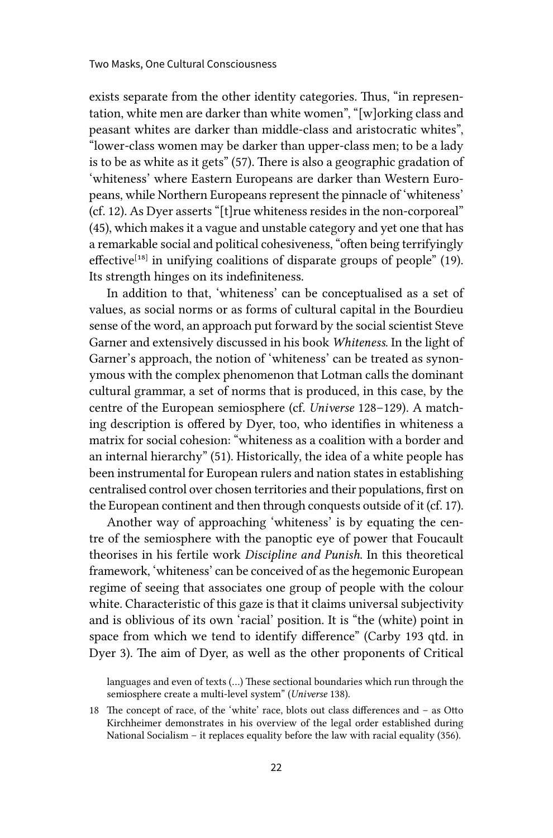exists separate from the other identity categories. Thus, "in representation, white men are darker than white women", "[w]orking class and peasant whites are darker than middle-class and aristocratic whites", "lower-class women may be darker than upper-class men; to be a lady is to be as white as it gets" (57). There is also a geographic gradation of 'whiteness' where Eastern Europeans are darker than Western Europeans, while Northern Europeans represent the pinnacle of 'whiteness' (cf. 12). As Dyer asserts "[t]rue whiteness resides in the non-corporeal" (45), which makes it a vague and unstable category and yet one that has a remarkable social and political cohesiveness, "often being terrifyingly effective<sup>[18]</sup> in unifying coalitions of disparate groups of people" (19). Its strength hinges on its indefiniteness.

In addition to that, 'whiteness' can be conceptualised as a set of values, as social norms or as forms of cultural capital in the Bourdieu sense of the word, an approach put forward by the social scientist Steve Garner and extensively discussed in his book *Whiteness*. In the light of Garner's approach, the notion of 'whiteness' can be treated as synonymous with the complex phenomenon that Lotman calls the dominant cultural grammar, a set of norms that is produced, in this case, by the centre of the European semiosphere (cf. *Universe* 128–129). A matching description is offered by Dyer, too, who identifies in whiteness a matrix for social cohesion: "whiteness as a coalition with a border and an internal hierarchy" (51). Historically, the idea of a white people has been instrumental for European rulers and nation states in establishing centralised control over chosen territories and their populations, first on the European continent and then through conquests outside of it (cf. 17).

Another way of approaching 'whiteness' is by equating the centre of the semiosphere with the panoptic eye of power that Foucault theorises in his fertile work *Discipline and Punish*. In this theoretical framework, 'whiteness' can be conceived of as the hegemonic European regime of seeing that associates one group of people with the colour white. Characteristic of this gaze is that it claims universal subjectivity and is oblivious of its own 'racial' position. It is "the (white) point in space from which we tend to identify difference" (Carby 193 qtd. in Dyer 3). The aim of Dyer, as well as the other proponents of Critical

languages and even of texts (…) These sectional boundaries which run through the semiosphere create a multi-level system" (*Universe* 138).

18 The concept of race, of the 'white' race, blots out class differences and – as Otto Kirchheimer demonstrates in his overview of the legal order established during National Socialism – it replaces equality before the law with racial equality (356).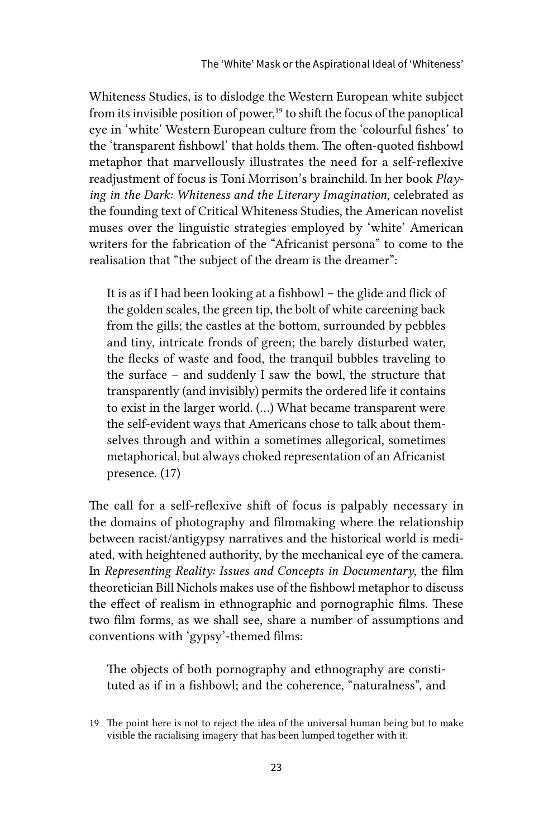Whiteness Studies, is to dislodge the Western European white subject from its invisible position of power,<sup>19</sup> to shift the focus of the panoptical eye in 'white' Western European culture from the 'colourful fishes' to the 'transparent fishbowl' that holds them. The often-quoted fishbowl metaphor that marvellously illustrates the need for a self-reflexive readjustment of focus is Toni Morrison's brainchild. In her book *Playing in the Dark: Whiteness and the Literary Imagination*, celebrated as the founding text of Critical Whiteness Studies, the American novelist muses over the linguistic strategies employed by 'white' American writers for the fabrication of the "Africanist persona" to come to the realisation that "the subject of the dream is the dreamer":

It is as if I had been looking at a fishbowl – the glide and flick of the golden scales, the green tip, the bolt of white careening back from the gills; the castles at the bottom, surrounded by pebbles and tiny, intricate fronds of green; the barely disturbed water, the flecks of waste and food, the tranquil bubbles traveling to the surface – and suddenly I saw the bowl, the structure that transparently (and invisibly) permits the ordered life it contains to exist in the larger world. (…) What became transparent were the self-evident ways that Americans chose to talk about themselves through and within a sometimes allegorical, sometimes metaphorical, but always choked representation of an Africanist presence. (17)

The call for a self-reflexive shift of focus is palpably necessary in the domains of photography and filmmaking where the relationship between racist/antigypsy narratives and the historical world is mediated, with heightened authority, by the mechanical eye of the camera. In *Representing Reality: Issues and Concepts in Documentary*, the film theoretician Bill Nichols makes use of the fishbowl metaphor to discuss the effect of realism in ethnographic and pornographic films. These two film forms, as we shall see, share a number of assumptions and conventions with 'gypsy'-themed films:

The objects of both pornography and ethnography are constituted as if in a fishbowl; and the coherence, "naturalness", and

<sup>19</sup> The point here is not to reject the idea of the universal human being but to make visible the racialising imagery that has been lumped together with it.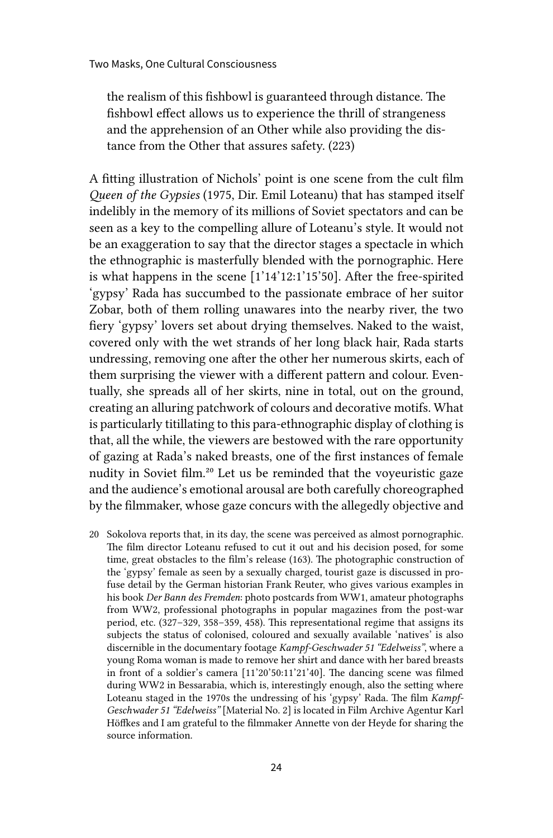the realism of this fishbowl is guaranteed through distance. The fishbowl effect allows us to experience the thrill of strangeness and the apprehension of an Other while also providing the distance from the Other that assures safety. (223)

A fitting illustration of Nichols' point is one scene from the cult film *Queen of the Gypsies* (1975, Dir. Emil Loteanu) that has stamped itself indelibly in the memory of its millions of Soviet spectators and can be seen as a key to the compelling allure of Loteanu's style. It would not be an exaggeration to say that the director stages a spectacle in which the ethnographic is masterfully blended with the pornographic. Here is what happens in the scene [1'14'12:1'15'50]. After the free-spirited 'gypsy' Rada has succumbed to the passionate embrace of her suitor Zobar, both of them rolling unawares into the nearby river, the two fiery 'gypsy' lovers set about drying themselves. Naked to the waist, covered only with the wet strands of her long black hair, Rada starts undressing, removing one after the other her numerous skirts, each of them surprising the viewer with a different pattern and colour. Eventually, she spreads all of her skirts, nine in total, out on the ground, creating an alluring patchwork of colours and decorative motifs. What is particularly titillating to this para-ethnographic display of clothing is that, all the while, the viewers are bestowed with the rare opportunity of gazing at Rada's naked breasts, one of the first instances of female nudity in Soviet film.20 Let us be reminded that the voyeuristic gaze and the audience's emotional arousal are both carefully choreographed by the filmmaker, whose gaze concurs with the allegedly objective and

20 Sokolova reports that, in its day, the scene was perceived as almost pornographic. The film director Loteanu refused to cut it out and his decision posed, for some time, great obstacles to the film's release (163). The photographic construction of the 'gypsy' female as seen by a sexually charged, tourist gaze is discussed in profuse detail by the German historian Frank Reuter, who gives various examples in his book *Der Bann des Fremden*: photo postcards from WW1, amateur photographs from WW2, professional photographs in popular magazines from the post-war period, etc. (327–329, 358–359, 458). This representational regime that assigns its subjects the status of colonised, coloured and sexually available 'natives' is also discernible in the documentary footage *Kampf-Geschwader 51 "Edelweiss"*, where a young Roma woman is made to remove her shirt and dance with her bared breasts in front of a soldier's camera [11'20'50:11'21'40]. The dancing scene was filmed during WW2 in Bessarabia, which is, interestingly enough, also the setting where Loteanu staged in the 1970s the undressing of his 'gypsy' Rada. The film *Kampf-Geschwader 51 "Edelweiss"* [Material No. 2] is located in Film Archive Agentur Karl Höffkes and I am grateful to the filmmaker Annette von der Heyde for sharing the source information.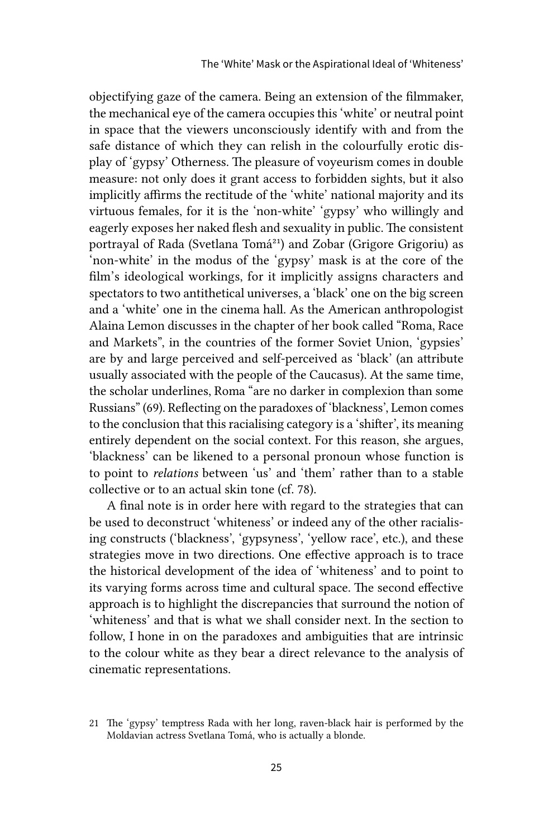objectifying gaze of the camera. Being an extension of the filmmaker, the mechanical eye of the camera occupies this 'white' or neutral point in space that the viewers unconsciously identify with and from the safe distance of which they can relish in the colourfully erotic display of 'gypsy' Otherness. The pleasure of voyeurism comes in double measure: not only does it grant access to forbidden sights, but it also implicitly affirms the rectitude of the 'white' national majority and its virtuous females, for it is the 'non-white' 'gypsy' who willingly and eagerly exposes her naked flesh and sexuality in public. The consistent portrayal of Rada (Svetlana Tomá<sup>21</sup>) and Zobar (Grigore Grigoriu) as 'non-white' in the modus of the 'gypsy' mask is at the core of the film's ideological workings, for it implicitly assigns characters and spectators to two antithetical universes, a 'black' one on the big screen and a 'white' one in the cinema hall. As the American anthropologist Alaina Lemon discusses in the chapter of her book called "Roma, Race and Markets", in the countries of the former Soviet Union, 'gypsies' are by and large perceived and self-perceived as 'black' (an attribute usually associated with the people of the Caucasus). At the same time, the scholar underlines, Roma "are no darker in complexion than some Russians" (69). Reflecting on the paradoxes of 'blackness', Lemon comes to the conclusion that this racialising category is a 'shifter', its meaning entirely dependent on the social context. For this reason, she argues, 'blackness' can be likened to a personal pronoun whose function is to point to *relations* between 'us' and 'them' rather than to a stable collective or to an actual skin tone (cf. 78).

A final note is in order here with regard to the strategies that can be used to deconstruct 'whiteness' or indeed any of the other racialising constructs ('blackness', 'gypsyness', 'yellow race', etc.), and these strategies move in two directions. One effective approach is to trace the historical development of the idea of 'whiteness' and to point to its varying forms across time and cultural space. The second effective approach is to highlight the discrepancies that surround the notion of 'whiteness' and that is what we shall consider next. In the section to follow, I hone in on the paradoxes and ambiguities that are intrinsic to the colour white as they bear a direct relevance to the analysis of cinematic representations.

<sup>21</sup> The 'gypsy' temptress Rada with her long, raven-black hair is performed by the Moldavian actress Svetlana Tomá, who is actually a blonde.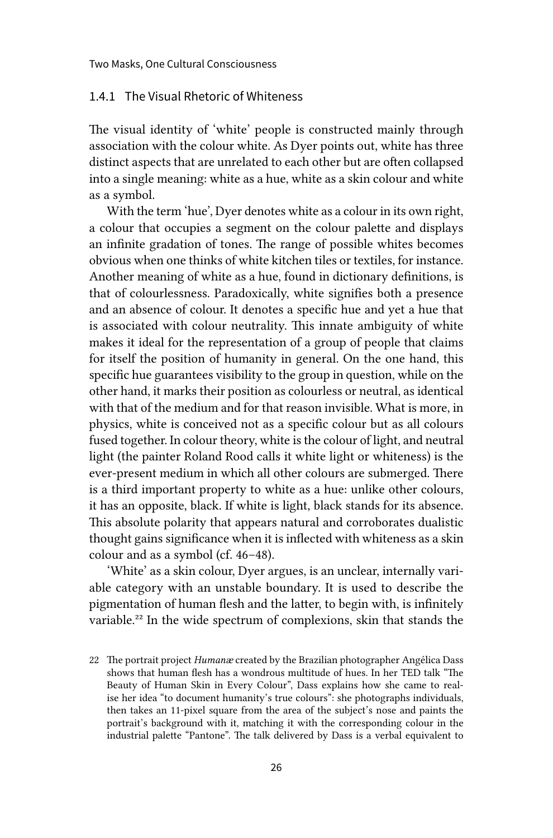#### 1.4.1 The Visual Rhetoric of Whiteness

The visual identity of 'white' people is constructed mainly through association with the colour white. As Dyer points out, white has three distinct aspects that are unrelated to each other but are often collapsed into a single meaning: white as a hue, white as a skin colour and white as a symbol.

With the term 'hue', Dyer denotes white as a colour in its own right, a colour that occupies a segment on the colour palette and displays an infinite gradation of tones. The range of possible whites becomes obvious when one thinks of white kitchen tiles or textiles, for instance. Another meaning of white as a hue, found in dictionary definitions, is that of colourlessness. Paradoxically, white signifies both a presence and an absence of colour. It denotes a specific hue and yet a hue that is associated with colour neutrality. This innate ambiguity of white makes it ideal for the representation of a group of people that claims for itself the position of humanity in general. On the one hand, this specific hue guarantees visibility to the group in question, while on the other hand, it marks their position as colourless or neutral, as identical with that of the medium and for that reason invisible. What is more, in physics, white is conceived not as a specific colour but as all colours fused together. In colour theory, white is the colour of light, and neutral light (the painter Roland Rood calls it white light or whiteness) is the ever-present medium in which all other colours are submerged. There is a third important property to white as a hue: unlike other colours, it has an opposite, black. If white is light, black stands for its absence. This absolute polarity that appears natural and corroborates dualistic thought gains significance when it is inflected with whiteness as a skin colour and as a symbol (cf. 46–48).

'White' as a skin colour, Dyer argues, is an unclear, internally variable category with an unstable boundary. It is used to describe the pigmentation of human flesh and the latter, to begin with, is infinitely variable.22 In the wide spectrum of complexions, skin that stands the

<sup>22</sup> The portrait project *Humanæ* created by the Brazilian photographer Angélica Dass shows that human flesh has a wondrous multitude of hues. In her TED talk "The Beauty of Human Skin in Every Colour", Dass explains how she came to realise her idea "to document humanity's true colours": she photographs individuals, then takes an 11-pixel square from the area of the subject's nose and paints the portrait's background with it, matching it with the corresponding colour in the industrial palette "Pantone". The talk delivered by Dass is a verbal equivalent to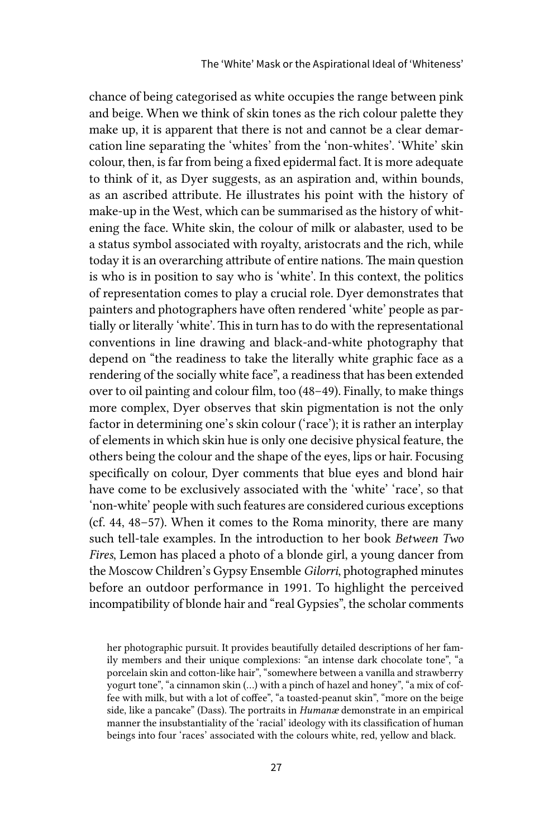chance of being categorised as white occupies the range between pink and beige. When we think of skin tones as the rich colour palette they make up, it is apparent that there is not and cannot be a clear demarcation line separating the 'whites' from the 'non-whites'. 'White' skin colour, then, is far from being a fixed epidermal fact. It is more adequate to think of it, as Dyer suggests, as an aspiration and, within bounds, as an ascribed attribute. He illustrates his point with the history of make-up in the West, which can be summarised as the history of whitening the face. White skin, the colour of milk or alabaster, used to be a status symbol associated with royalty, aristocrats and the rich, while today it is an overarching attribute of entire nations. The main question is who is in position to say who is 'white'. In this context, the politics of representation comes to play a crucial role. Dyer demonstrates that painters and photographers have often rendered 'white' people as partially or literally 'white'. This in turn has to do with the representational conventions in line drawing and black-and-white photography that depend on "the readiness to take the literally white graphic face as a rendering of the socially white face", a readiness that has been extended over to oil painting and colour film, too (48–49). Finally, to make things more complex, Dyer observes that skin pigmentation is not the only factor in determining one's skin colour ('race'); it is rather an interplay of elements in which skin hue is only one decisive physical feature, the others being the colour and the shape of the eyes, lips or hair. Focusing specifically on colour, Dyer comments that blue eyes and blond hair have come to be exclusively associated with the 'white' 'race', so that 'non-white' people with such features are considered curious exceptions (cf. 44, 48–57). When it comes to the Roma minority, there are many such tell-tale examples. In the introduction to her book *Between Two Fires*, Lemon has placed a photo of a blonde girl, a young dancer from the Moscow Children's Gypsy Ensemble *Gilorri*, photographed minutes before an outdoor performance in 1991. To highlight the perceived incompatibility of blonde hair and "real Gypsies", the scholar comments

her photographic pursuit. It provides beautifully detailed descriptions of her family members and their unique complexions: "an intense dark chocolate tone", "a porcelain skin and cotton-like hair", "somewhere between a vanilla and strawberry yogurt tone", "a cinnamon skin (…) with a pinch of hazel and honey", "a mix of coffee with milk, but with a lot of coffee", "a toasted-peanut skin", "more on the beige side, like a pancake" (Dass). The portraits in *Humanæ* demonstrate in an empirical manner the insubstantiality of the 'racial' ideology with its classification of human beings into four 'races' associated with the colours white, red, yellow and black.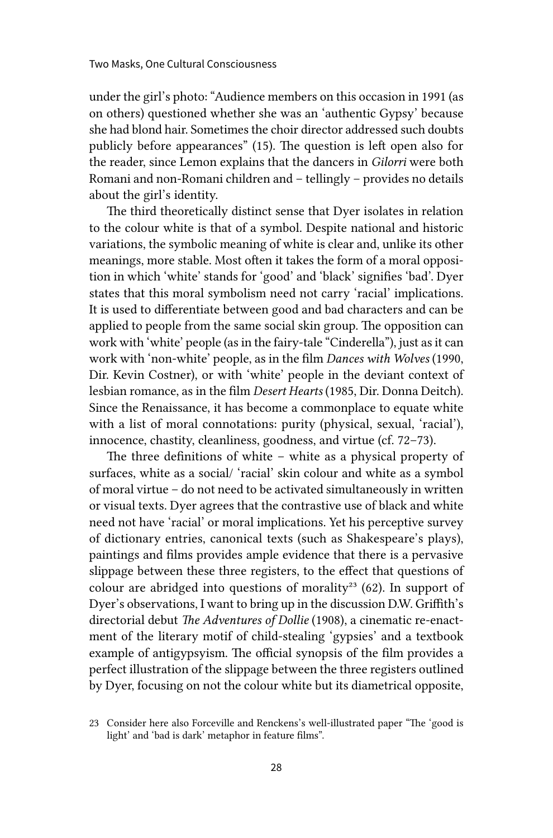under the girl's photo: "Audience members on this occasion in 1991 (as on others) questioned whether she was an 'authentic Gypsy' because she had blond hair. Sometimes the choir director addressed such doubts publicly before appearances" (15). The question is left open also for the reader, since Lemon explains that the dancers in *Gilorri* were both Romani and non-Romani children and – tellingly – provides no details about the girl's identity.

The third theoretically distinct sense that Dyer isolates in relation to the colour white is that of a symbol. Despite national and historic variations, the symbolic meaning of white is clear and, unlike its other meanings, more stable. Most often it takes the form of a moral opposition in which 'white' stands for 'good' and 'black' signifies 'bad'. Dyer states that this moral symbolism need not carry 'racial' implications. It is used to differentiate between good and bad characters and can be applied to people from the same social skin group. The opposition can work with 'white' people (as in the fairy-tale "Cinderella"), just as it can work with 'non-white' people, as in the film *Dances with Wolves* (1990, Dir. Kevin Costner), or with 'white' people in the deviant context of lesbian romance, as in the film *Desert Hearts* (1985, Dir. Donna Deitch). Since the Renaissance, it has become a commonplace to equate white with a list of moral connotations: purity (physical, sexual, 'racial'), innocence, chastity, cleanliness, goodness, and virtue (cf. 72–73).

The three definitions of white – white as a physical property of surfaces, white as a social/ 'racial' skin colour and white as a symbol of moral virtue – do not need to be activated simultaneously in written or visual texts. Dyer agrees that the contrastive use of black and white need not have 'racial' or moral implications. Yet his perceptive survey of dictionary entries, canonical texts (such as Shakespeare's plays), paintings and films provides ample evidence that there is a pervasive slippage between these three registers, to the effect that questions of colour are abridged into questions of morality<sup>23</sup> (62). In support of Dyer's observations, I want to bring up in the discussion D.W. Griffith's directorial debut *The Adventures of Dollie* (1908), a cinematic re-enactment of the literary motif of child-stealing 'gypsies' and a textbook example of antigypsyism. The official synopsis of the film provides a perfect illustration of the slippage between the three registers outlined by Dyer, focusing on not the colour white but its diametrical opposite,

<sup>23</sup> Consider here also Forceville and Renckens's well-illustrated paper "The 'good is light' and 'bad is dark' metaphor in feature films".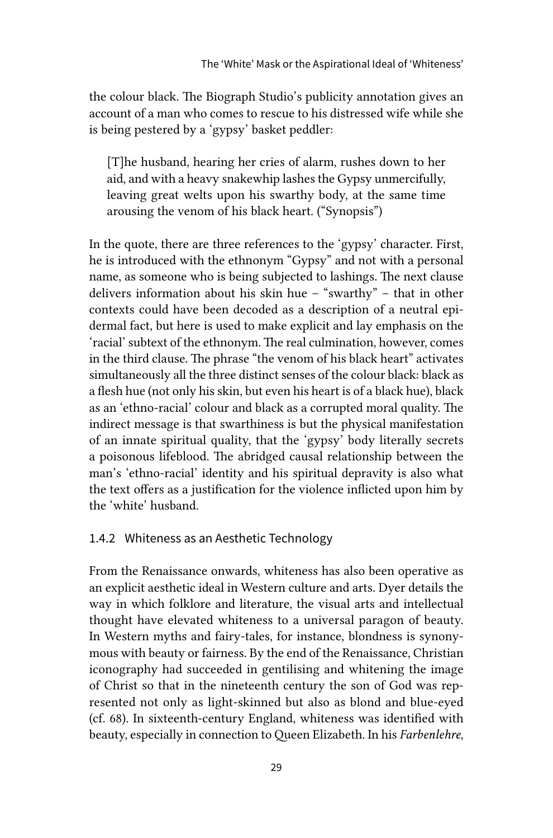the colour black. The Biograph Studio's publicity annotation gives an account of a man who comes to rescue to his distressed wife while she is being pestered by a 'gypsy' basket peddler:

[T]he husband, hearing her cries of alarm, rushes down to her aid, and with a heavy snakewhip lashes the Gypsy unmercifully, leaving great welts upon his swarthy body, at the same time arousing the venom of his black heart. ("Synopsis")

In the quote, there are three references to the 'gypsy' character. First, he is introduced with the ethnonym "Gypsy" and not with a personal name, as someone who is being subjected to lashings. The next clause delivers information about his skin hue – "swarthy" – that in other contexts could have been decoded as a description of a neutral epidermal fact, but here is used to make explicit and lay emphasis on the 'racial' subtext of the ethnonym. The real culmination, however, comes in the third clause. The phrase "the venom of his black heart" activates simultaneously all the three distinct senses of the colour black: black as a flesh hue (not only his skin, but even his heart is of a black hue), black as an 'ethno-racial' colour and black as a corrupted moral quality. The indirect message is that swarthiness is but the physical manifestation of an innate spiritual quality, that the 'gypsy' body literally secrets a poisonous lifeblood. The abridged causal relationship between the man's 'ethno-racial' identity and his spiritual depravity is also what the text offers as a justification for the violence inflicted upon him by the 'white' husband.

#### 1.4.2 Whiteness as an Aesthetic Technology

From the Renaissance onwards, whiteness has also been operative as an explicit aesthetic ideal in Western culture and arts. Dyer details the way in which folklore and literature, the visual arts and intellectual thought have elevated whiteness to a universal paragon of beauty. In Western myths and fairy-tales, for instance, blondness is synonymous with beauty or fairness. By the end of the Renaissance, Christian iconography had succeeded in gentilising and whitening the image of Christ so that in the nineteenth century the son of God was represented not only as light-skinned but also as blond and blue-eyed (cf. 68). In sixteenth-century England, whiteness was identified with beauty, especially in connection to Queen Elizabeth. In his *Farbenlehre*,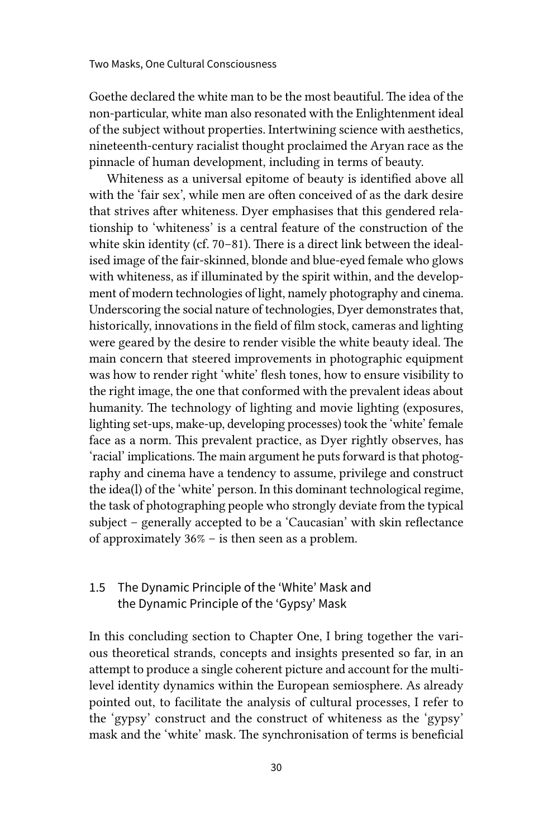Goethe declared the white man to be the most beautiful. The idea of the non-particular, white man also resonated with the Enlightenment ideal of the subject without properties. Intertwining science with aesthetics, nineteenth-century racialist thought proclaimed the Aryan race as the pinnacle of human development, including in terms of beauty.

Whiteness as a universal epitome of beauty is identified above all with the 'fair sex', while men are often conceived of as the dark desire that strives after whiteness. Dyer emphasises that this gendered relationship to 'whiteness' is a central feature of the construction of the white skin identity (cf. 70–81). There is a direct link between the idealised image of the fair-skinned, blonde and blue-eyed female who glows with whiteness, as if illuminated by the spirit within, and the development of modern technologies of light, namely photography and cinema. Underscoring the social nature of technologies, Dyer demonstrates that, historically, innovations in the field of film stock, cameras and lighting were geared by the desire to render visible the white beauty ideal. The main concern that steered improvements in photographic equipment was how to render right 'white' flesh tones, how to ensure visibility to the right image, the one that conformed with the prevalent ideas about humanity. The technology of lighting and movie lighting (exposures, lighting set-ups, make-up, developing processes) took the 'white' female face as a norm. This prevalent practice, as Dyer rightly observes, has 'racial' implications. The main argument he puts forward is that photography and cinema have a tendency to assume, privilege and construct the idea(l) of the 'white' person. In this dominant technological regime, the task of photographing people who strongly deviate from the typical subject – generally accepted to be a 'Caucasian' with skin reflectance of approximately 36% – is then seen as a problem.

## 1.5 The Dynamic Principle of the 'White' Mask and the Dynamic Principle of the 'Gypsy' Mask

In this concluding section to Chapter One, I bring together the various theoretical strands, concepts and insights presented so far, in an attempt to produce a single coherent picture and account for the multilevel identity dynamics within the European semiosphere. As already pointed out, to facilitate the analysis of cultural processes, I refer to the 'gypsy' construct and the construct of whiteness as the 'gypsy' mask and the 'white' mask. The synchronisation of terms is beneficial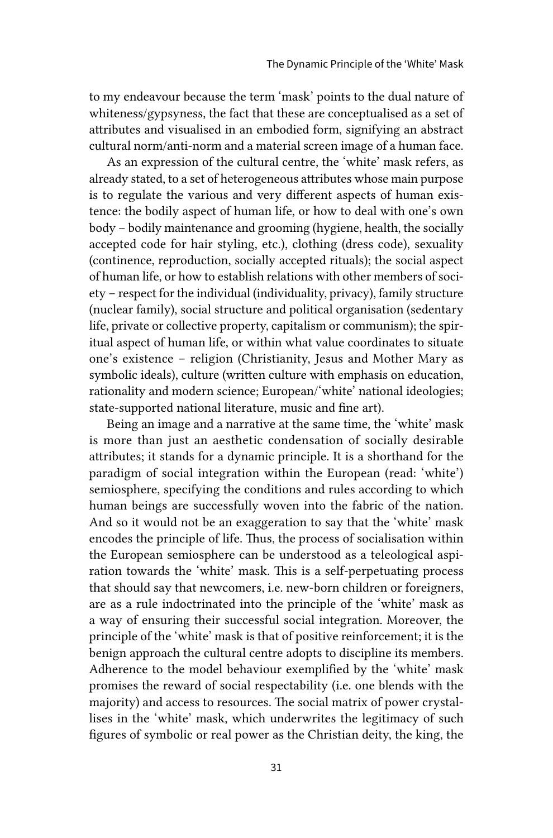to my endeavour because the term 'mask' points to the dual nature of whiteness/gypsyness, the fact that these are conceptualised as a set of attributes and visualised in an embodied form, signifying an abstract cultural norm/anti-norm and a material screen image of a human face.

As an expression of the cultural centre, the 'white' mask refers, as already stated, to a set of heterogeneous attributes whose main purpose is to regulate the various and very different aspects of human existence: the bodily aspect of human life, or how to deal with one's own body – bodily maintenance and grooming (hygiene, health, the socially accepted code for hair styling, etc.), clothing (dress code), sexuality (continence, reproduction, socially accepted rituals); the social aspect of human life, or how to establish relations with other members of society – respect for the individual (individuality, privacy), family structure (nuclear family), social structure and political organisation (sedentary life, private or collective property, capitalism or communism); the spiritual aspect of human life, or within what value coordinates to situate one's existence – religion (Christianity, Jesus and Mother Mary as symbolic ideals), culture (written culture with emphasis on education, rationality and modern science; European/'white' national ideologies; state-supported national literature, music and fine art).

Being an image and a narrative at the same time, the 'white' mask is more than just an aesthetic condensation of socially desirable attributes; it stands for a dynamic principle. It is a shorthand for the paradigm of social integration within the European (read: 'white') semiosphere, specifying the conditions and rules according to which human beings are successfully woven into the fabric of the nation. And so it would not be an exaggeration to say that the 'white' mask encodes the principle of life. Thus, the process of socialisation within the European semiosphere can be understood as a teleological aspiration towards the 'white' mask. This is a self-perpetuating process that should say that newcomers, i.e. new-born children or foreigners, are as a rule indoctrinated into the principle of the 'white' mask as a way of ensuring their successful social integration. Moreover, the principle of the 'white' mask is that of positive reinforcement; it is the benign approach the cultural centre adopts to discipline its members. Adherence to the model behaviour exemplified by the 'white' mask promises the reward of social respectability (i.e. one blends with the majority) and access to resources. The social matrix of power crystallises in the 'white' mask, which underwrites the legitimacy of such figures of symbolic or real power as the Christian deity, the king, the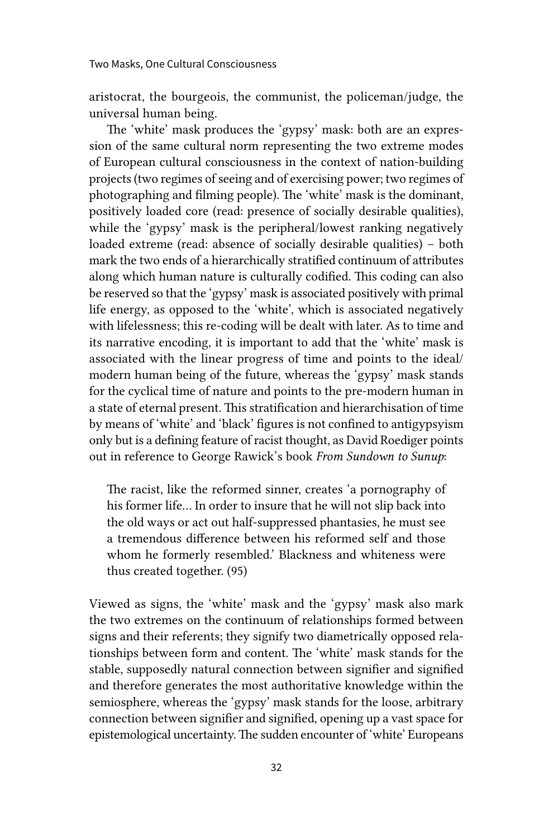aristocrat, the bourgeois, the communist, the policeman/judge, the universal human being.

The 'white' mask produces the 'gypsy' mask: both are an expression of the same cultural norm representing the two extreme modes of European cultural consciousness in the context of nation-building projects (two regimes of seeing and of exercising power; two regimes of photographing and filming people). The 'white' mask is the dominant, positively loaded core (read: presence of socially desirable qualities), while the 'gypsy' mask is the peripheral/lowest ranking negatively loaded extreme (read: absence of socially desirable qualities) – both mark the two ends of a hierarchically stratified continuum of attributes along which human nature is culturally codified. This coding can also be reserved so that the 'gypsy' mask is associated positively with primal life energy, as opposed to the 'white', which is associated negatively with lifelessness; this re-coding will be dealt with later. As to time and its narrative encoding, it is important to add that the 'white' mask is associated with the linear progress of time and points to the ideal/ modern human being of the future, whereas the 'gypsy' mask stands for the cyclical time of nature and points to the pre-modern human in a state of eternal present. This stratification and hierarchisation of time by means of 'white' and 'black' figures is not confined to antigypsyism only but is a defining feature of racist thought, as David Roediger points out in reference to George Rawick's book *From Sundown to Sunup*:

The racist, like the reformed sinner, creates 'a pornography of his former life… In order to insure that he will not slip back into the old ways or act out half-suppressed phantasies, he must see a tremendous difference between his reformed self and those whom he formerly resembled.' Blackness and whiteness were thus created together. (95)

Viewed as signs, the 'white' mask and the 'gypsy' mask also mark the two extremes on the continuum of relationships formed between signs and their referents; they signify two diametrically opposed relationships between form and content. The 'white' mask stands for the stable, supposedly natural connection between signifier and signified and therefore generates the most authoritative knowledge within the semiosphere, whereas the 'gypsy' mask stands for the loose, arbitrary connection between signifier and signified, opening up a vast space for epistemological uncertainty. The sudden encounter of 'white' Europeans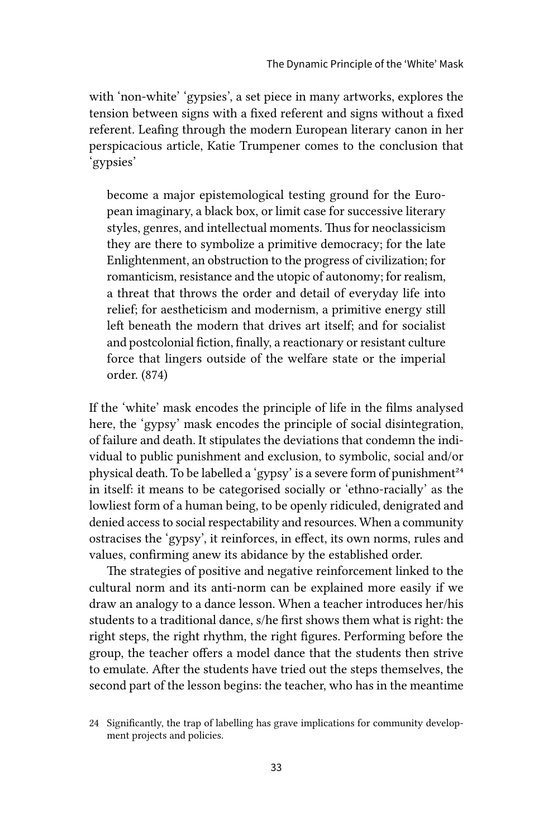with 'non-white' 'gypsies', a set piece in many artworks, explores the tension between signs with a fixed referent and signs without a fixed referent. Leafing through the modern European literary canon in her perspicacious article, Katie Trumpener comes to the conclusion that 'gypsies'

become a major epistemological testing ground for the European imaginary, a black box, or limit case for successive literary styles, genres, and intellectual moments. Thus for neoclassicism they are there to symbolize a primitive democracy; for the late Enlightenment, an obstruction to the progress of civilization; for romanticism, resistance and the utopic of autonomy; for realism, a threat that throws the order and detail of everyday life into relief; for aestheticism and modernism, a primitive energy still left beneath the modern that drives art itself; and for socialist and postcolonial fiction, finally, a reactionary or resistant culture force that lingers outside of the welfare state or the imperial order. (874)

If the 'white' mask encodes the principle of life in the films analysed here, the 'gypsy' mask encodes the principle of social disintegration, of failure and death. It stipulates the deviations that condemn the individual to public punishment and exclusion, to symbolic, social and/or physical death. To be labelled a 'gypsy' is a severe form of punishment<sup>24</sup> in itself: it means to be categorised socially or 'ethno-racially' as the lowliest form of a human being, to be openly ridiculed, denigrated and denied access to social respectability and resources. When a community ostracises the 'gypsy', it reinforces, in effect, its own norms, rules and values, confirming anew its abidance by the established order.

The strategies of positive and negative reinforcement linked to the cultural norm and its anti-norm can be explained more easily if we draw an analogy to a dance lesson. When a teacher introduces her/his students to a traditional dance, s/he first shows them what is right: the right steps, the right rhythm, the right figures. Performing before the group, the teacher offers a model dance that the students then strive to emulate. After the students have tried out the steps themselves, the second part of the lesson begins: the teacher, who has in the meantime

<sup>24</sup> Significantly, the trap of labelling has grave implications for community development projects and policies.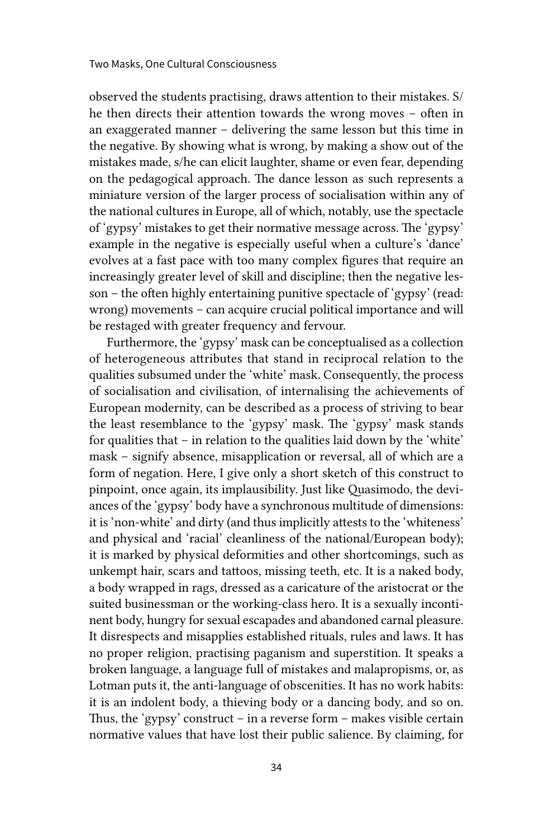observed the students practising, draws attention to their mistakes. S/ he then directs their attention towards the wrong moves – often in an exaggerated manner – delivering the same lesson but this time in the negative. By showing what is wrong, by making a show out of the mistakes made, s/he can elicit laughter, shame or even fear, depending on the pedagogical approach. The dance lesson as such represents a miniature version of the larger process of socialisation within any of the national cultures in Europe, all of which, notably, use the spectacle of 'gypsy' mistakes to get their normative message across. The 'gypsy' example in the negative is especially useful when a culture's 'dance' evolves at a fast pace with too many complex figures that require an increasingly greater level of skill and discipline; then the negative lesson – the often highly entertaining punitive spectacle of 'gypsy' (read: wrong) movements – can acquire crucial political importance and will be restaged with greater frequency and fervour.

Furthermore, the 'gypsy' mask can be conceptualised as a collection of heterogeneous attributes that stand in reciprocal relation to the qualities subsumed under the 'white' mask. Consequently, the process of socialisation and civilisation, of internalising the achievements of European modernity, can be described as a process of striving to bear the least resemblance to the 'gypsy' mask. The 'gypsy' mask stands for qualities that – in relation to the qualities laid down by the 'white' mask – signify absence, misapplication or reversal, all of which are a form of negation. Here, I give only a short sketch of this construct to pinpoint, once again, its implausibility. Just like Quasimodo, the deviances of the 'gypsy' body have a synchronous multitude of dimensions: it is 'non-white' and dirty (and thus implicitly attests to the 'whiteness' and physical and 'racial' cleanliness of the national/European body); it is marked by physical deformities and other shortcomings, such as unkempt hair, scars and tattoos, missing teeth, etc. It is a naked body, a body wrapped in rags, dressed as a caricature of the aristocrat or the suited businessman or the working-class hero. It is a sexually incontinent body, hungry for sexual escapades and abandoned carnal pleasure. It disrespects and misapplies established rituals, rules and laws. It has no proper religion, practising paganism and superstition. It speaks a broken language, a language full of mistakes and malapropisms, or, as Lotman puts it, the anti-language of obscenities. It has no work habits: it is an indolent body, a thieving body or a dancing body, and so on. Thus, the 'gypsy' construct – in a reverse form – makes visible certain normative values that have lost their public salience. By claiming, for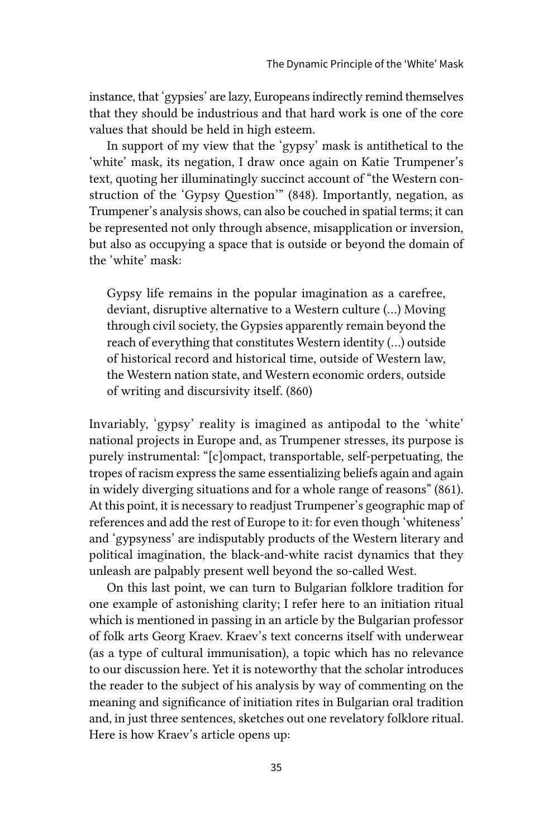instance, that 'gypsies' are lazy, Europeans indirectly remind themselves that they should be industrious and that hard work is one of the core values that should be held in high esteem.

In support of my view that the 'gypsy' mask is antithetical to the 'white' mask, its negation, I draw once again on Katie Trumpener's text, quoting her illuminatingly succinct account of "the Western construction of the 'Gypsy Question'" (848). Importantly, negation, as Trumpener's analysis shows, can also be couched in spatial terms; it can be represented not only through absence, misapplication or inversion, but also as occupying a space that is outside or beyond the domain of the 'white' mask:

Gypsy life remains in the popular imagination as a carefree, deviant, disruptive alternative to a Western culture (…) Moving through civil society, the Gypsies apparently remain beyond the reach of everything that constitutes Western identity (…) outside of historical record and historical time, outside of Western law, the Western nation state, and Western economic orders, outside of writing and discursivity itself. (860)

Invariably, 'gypsy' reality is imagined as antipodal to the 'white' national projects in Europe and, as Trumpener stresses, its purpose is purely instrumental: "[c]ompact, transportable, self-perpetuating, the tropes of racism express the same essentializing beliefs again and again in widely diverging situations and for a whole range of reasons" (861). At this point, it is necessary to readjust Trumpener's geographic map of references and add the rest of Europe to it: for even though 'whiteness' and 'gypsyness' are indisputably products of the Western literary and political imagination, the black-and-white racist dynamics that they unleash are palpably present well beyond the so-called West.

On this last point, we can turn to Bulgarian folklore tradition for one example of astonishing clarity; I refer here to an initiation ritual which is mentioned in passing in an article by the Bulgarian professor of folk arts Georg Kraev. Kraev's text concerns itself with underwear (as a type of cultural immunisation), a topic which has no relevance to our discussion here. Yet it is noteworthy that the scholar introduces the reader to the subject of his analysis by way of commenting on the meaning and significance of initiation rites in Bulgarian oral tradition and, in just three sentences, sketches out one revelatory folklore ritual. Here is how Kraev's article opens up: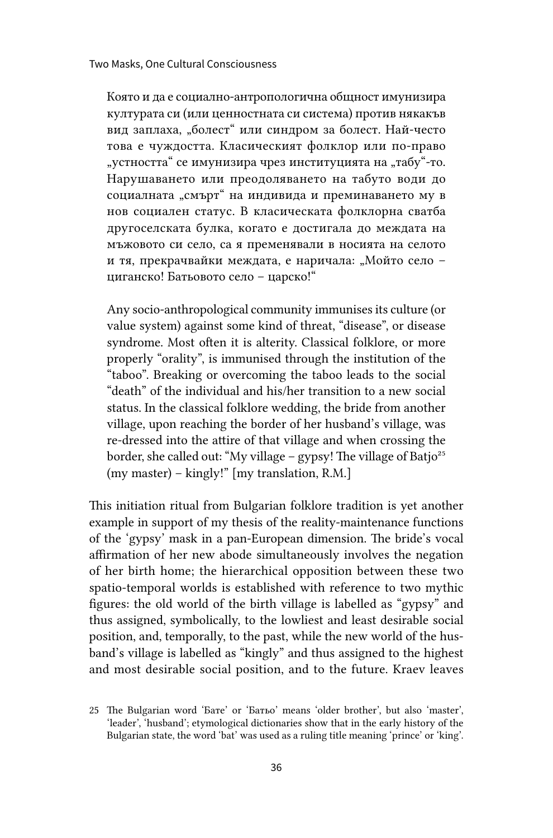Която и да е социално-антропологична общност имунизира културата си (или ценностната си система) против някакъв вид заплаха, "болест" или синдром за болест. Най-често това е чуждостта. Класическият фолклор или по-право "устността" се имунизира чрез институцията на "табу"-то. Нарушаването или преодоляването на табуто води до социалната "смърт" на индивида и преминаването му в нов социален статус. В класическата фолклорна сватба другоселската булка, когато е достигала до междата на мъжовото си село, са я пременявали в носията на селото и тя, прекрачвайки междата, е наричала: "Мойто село циганско! Батьовото село – царско!"

Any socio-anthropological community immunises its culture (or value system) against some kind of threat, "disease", or disease syndrome. Most often it is alterity. Classical folklore, or more properly "orality", is immunised through the institution of the "taboo". Breaking or overcoming the taboo leads to the social "death" of the individual and his/her transition to a new social status. In the classical folklore wedding, the bride from another village, upon reaching the border of her husband's village, was re-dressed into the attire of that village and when crossing the border, she called out: "My village – gypsy! The village of Batjo<sup>25</sup> (my master) – kingly!" [my translation, R.M.]

This initiation ritual from Bulgarian folklore tradition is yet another example in support of my thesis of the reality-maintenance functions of the 'gypsy' mask in a pan-European dimension. The bride's vocal affirmation of her new abode simultaneously involves the negation of her birth home; the hierarchical opposition between these two spatio-temporal worlds is established with reference to two mythic figures: the old world of the birth village is labelled as "gypsy" and thus assigned, symbolically, to the lowliest and least desirable social position, and, temporally, to the past, while the new world of the husband's village is labelled as "kingly" and thus assigned to the highest and most desirable social position, and to the future. Kraev leaves

<sup>25</sup> The Bulgarian word 'Бате' or 'Батьо' means 'older brother', but also 'master', 'leader', 'husband'; etymological dictionaries show that in the early history of the Bulgarian state, the word 'bat' was used as a ruling title meaning 'prince' or 'king'.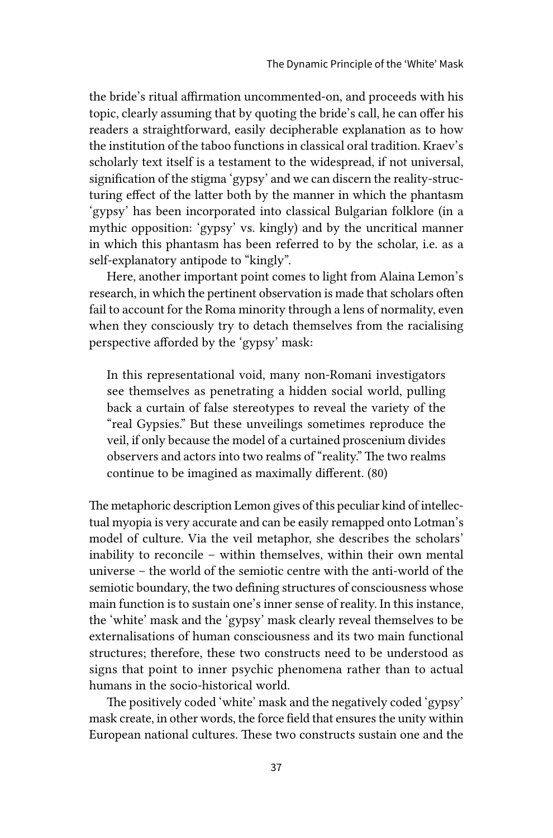the bride's ritual affirmation uncommented-on, and proceeds with his topic, clearly assuming that by quoting the bride's call, he can offer his readers a straightforward, easily decipherable explanation as to how the institution of the taboo functions in classical oral tradition. Kraev's scholarly text itself is a testament to the widespread, if not universal, signification of the stigma 'gypsy' and we can discern the reality-structuring effect of the latter both by the manner in which the phantasm 'gypsy' has been incorporated into classical Bulgarian folklore (in a mythic opposition: 'gypsy' vs. kingly) and by the uncritical manner in which this phantasm has been referred to by the scholar, i.e. as a self-explanatory antipode to "kingly".

Here, another important point comes to light from Alaina Lemon's research, in which the pertinent observation is made that scholars often fail to account for the Roma minority through a lens of normality, even when they consciously try to detach themselves from the racialising perspective afforded by the 'gypsy' mask:

In this representational void, many non-Romani investigators see themselves as penetrating a hidden social world, pulling back a curtain of false stereotypes to reveal the variety of the "real Gypsies." But these unveilings sometimes reproduce the veil, if only because the model of a curtained proscenium divides observers and actors into two realms of "reality." The two realms continue to be imagined as maximally different. (80)

The metaphoric description Lemon gives of this peculiar kind of intellectual myopia is very accurate and can be easily remapped onto Lotman's model of culture. Via the veil metaphor, she describes the scholars' inability to reconcile – within themselves, within their own mental universe – the world of the semiotic centre with the anti-world of the semiotic boundary, the two defining structures of consciousness whose main function is to sustain one's inner sense of reality. In this instance, the 'white' mask and the 'gypsy' mask clearly reveal themselves to be externalisations of human consciousness and its two main functional structures; therefore, these two constructs need to be understood as signs that point to inner psychic phenomena rather than to actual humans in the socio-historical world.

The positively coded 'white' mask and the negatively coded 'gypsy' mask create, in other words, the force field that ensures the unity within European national cultures. These two constructs sustain one and the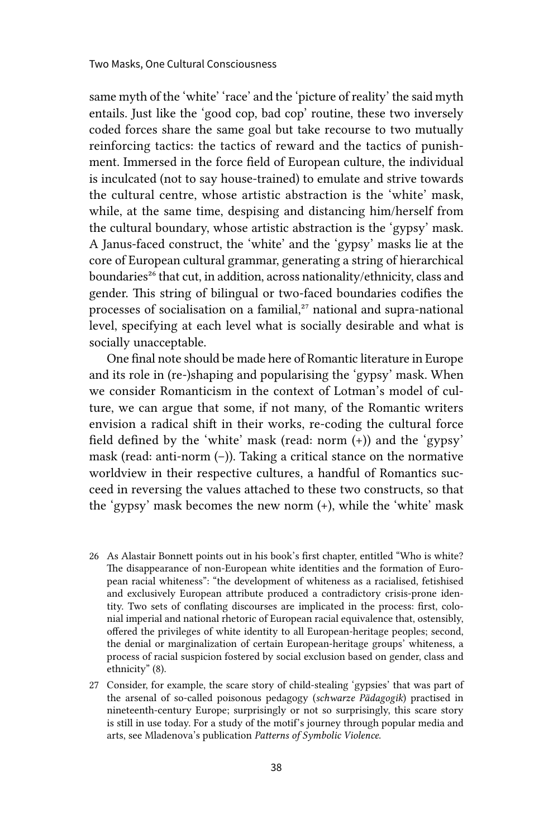same myth of the 'white' 'race' and the 'picture of reality' the said myth entails. Just like the 'good cop, bad cop' routine, these two inversely coded forces share the same goal but take recourse to two mutually reinforcing tactics: the tactics of reward and the tactics of punishment. Immersed in the force field of European culture, the individual is inculcated (not to say house-trained) to emulate and strive towards the cultural centre, whose artistic abstraction is the 'white' mask, while, at the same time, despising and distancing him/herself from the cultural boundary, whose artistic abstraction is the 'gypsy' mask. A Janus-faced construct, the 'white' and the 'gypsy' masks lie at the core of European cultural grammar, generating a string of hierarchical boundaries<sup>26</sup> that cut, in addition, across nationality/ethnicity, class and gender. This string of bilingual or two-faced boundaries codifies the processes of socialisation on a familial,<sup>27</sup> national and supra-national level, specifying at each level what is socially desirable and what is socially unacceptable.

One final note should be made here of Romantic literature in Europe and its role in (re-)shaping and popularising the 'gypsy' mask. When we consider Romanticism in the context of Lotman's model of culture, we can argue that some, if not many, of the Romantic writers envision a radical shift in their works, re-coding the cultural force field defined by the 'white' mask (read: norm (+)) and the 'gypsy' mask (read: anti-norm (–)). Taking a critical stance on the normative worldview in their respective cultures, a handful of Romantics succeed in reversing the values attached to these two constructs, so that the 'gypsy' mask becomes the new norm (+), while the 'white' mask

- 26 As Alastair Bonnett points out in his book's first chapter, entitled "Who is white? The disappearance of non-European white identities and the formation of European racial whiteness": "the development of whiteness as a racialised, fetishised and exclusively European attribute produced a contradictory crisis-prone identity. Two sets of conflating discourses are implicated in the process: first, colonial imperial and national rhetoric of European racial equivalence that, ostensibly, offered the privileges of white identity to all European-heritage peoples; second, the denial or marginalization of certain European-heritage groups' whiteness, a process of racial suspicion fostered by social exclusion based on gender, class and ethnicity" (8).
- 27 Consider, for example, the scare story of child-stealing 'gypsies' that was part of the arsenal of so-called poisonous pedagogy (*schwarze Pädagogik*) practised in nineteenth-century Europe; surprisingly or not so surprisingly, this scare story is still in use today. For a study of the motif's journey through popular media and arts, see Mladenova's publication *Patterns of Symbolic Violence*.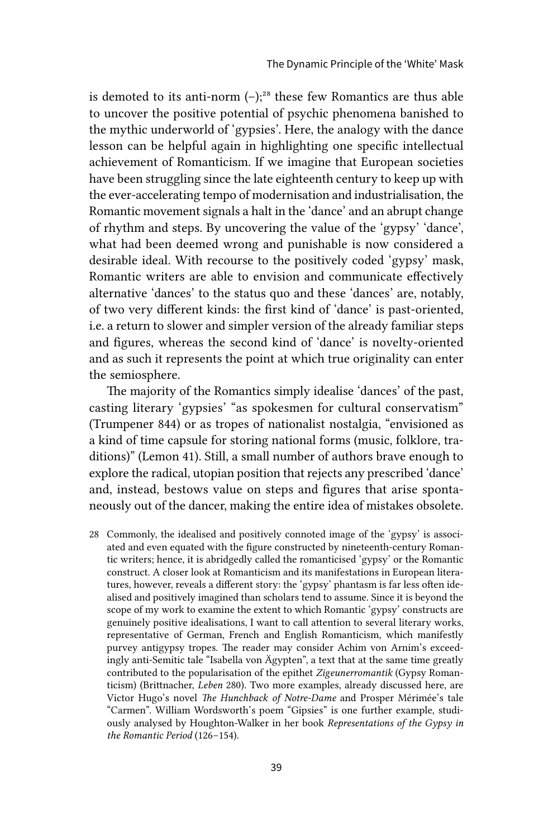is demoted to its anti-norm  $(-)$ ;<sup>28</sup> these few Romantics are thus able to uncover the positive potential of psychic phenomena banished to the mythic underworld of 'gypsies'. Here, the analogy with the dance lesson can be helpful again in highlighting one specific intellectual achievement of Romanticism. If we imagine that European societies have been struggling since the late eighteenth century to keep up with the ever-accelerating tempo of modernisation and industrialisation, the Romantic movement signals a halt in the 'dance' and an abrupt change of rhythm and steps. By uncovering the value of the 'gypsy' 'dance', what had been deemed wrong and punishable is now considered a desirable ideal. With recourse to the positively coded 'gypsy' mask, Romantic writers are able to envision and communicate effectively alternative 'dances' to the status quo and these 'dances' are, notably, of two very different kinds: the first kind of 'dance' is past-oriented, i.e. a return to slower and simpler version of the already familiar steps and figures, whereas the second kind of 'dance' is novelty-oriented and as such it represents the point at which true originality can enter the semiosphere.

The majority of the Romantics simply idealise 'dances' of the past, casting literary 'gypsies' "as spokesmen for cultural conservatism" (Trumpener 844) or as tropes of nationalist nostalgia, "envisioned as a kind of time capsule for storing national forms (music, folklore, traditions)" (Lemon 41). Still, a small number of authors brave enough to explore the radical, utopian position that rejects any prescribed 'dance' and, instead, bestows value on steps and figures that arise spontaneously out of the dancer, making the entire idea of mistakes obsolete.

28 Commonly, the idealised and positively connoted image of the 'gypsy' is associated and even equated with the figure constructed by nineteenth-century Romantic writers; hence, it is abridgedly called the romanticised 'gypsy' or the Romantic construct. A closer look at Romanticism and its manifestations in European literatures, however, reveals a different story: the 'gypsy' phantasm is far less often idealised and positively imagined than scholars tend to assume. Since it is beyond the scope of my work to examine the extent to which Romantic 'gypsy' constructs are genuinely positive idealisations, I want to call attention to several literary works, representative of German, French and English Romanticism, which manifestly purvey antigypsy tropes. The reader may consider Achim von Arnim's exceedingly anti-Semitic tale "Isabella von Ägypten", a text that at the same time greatly contributed to the popularisation of the epithet *Zigeunerromantik* (Gypsy Romanticism) (Brittnacher, *Leben* 280). Two more examples, already discussed here, are Victor Hugo's novel *The Hunchback of Notre-Dame* and Prosper Mérimée's tale "Carmen". William Wordsworth's poem "Gipsies" is one further example, studiously analysed by Houghton-Walker in her book *Representations of the Gypsy in the Romantic Period* (126–154).